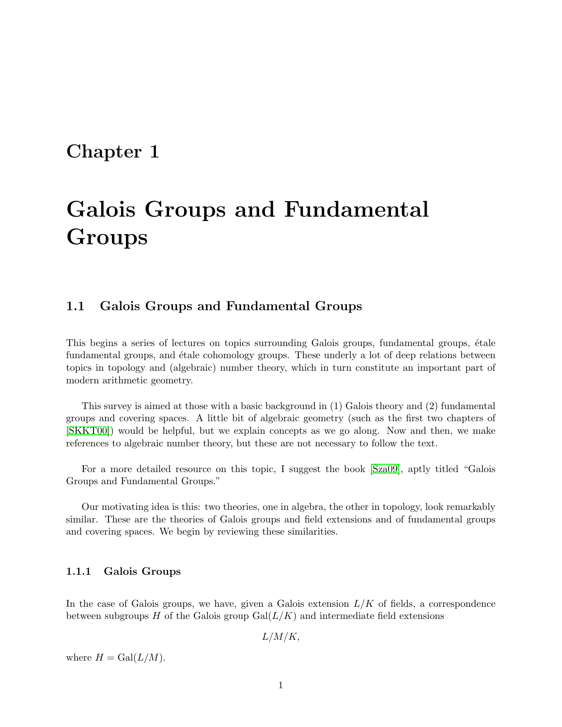# Chapter 1

# Galois Groups and Fundamental **Groups**

# 1.1 Galois Groups and Fundamental Groups

This begins a series of lectures on topics surrounding Galois groups, fundamental groups, étale fundamental groups, and étale cohomology groups. These underly a lot of deep relations between topics in topology and (algebraic) number theory, which in turn constitute an important part of modern arithmetic geometry.

This survey is aimed at those with a basic background in (1) Galois theory and (2) fundamental groups and covering spaces. A little bit of algebraic geometry (such as the first two chapters of [\[SKKT00\]](#page-26-0)) would be helpful, but we explain concepts as we go along. Now and then, we make references to algebraic number theory, but these are not necessary to follow the text.

For a more detailed resource on this topic, I suggest the book [\[Sza09\]](#page-27-0), aptly titled "Galois Groups and Fundamental Groups."

Our motivating idea is this: two theories, one in algebra, the other in topology, look remarkably similar. These are the theories of Galois groups and field extensions and of fundamental groups and covering spaces. We begin by reviewing these similarities.

#### 1.1.1 Galois Groups

In the case of Galois groups, we have, given a Galois extension  $L/K$  of fields, a correspondence between subgroups H of the Galois group  $Gal(L/K)$  and intermediate field extensions

 $L/M/K$ ,

where  $H = \text{Gal}(L/M)$ .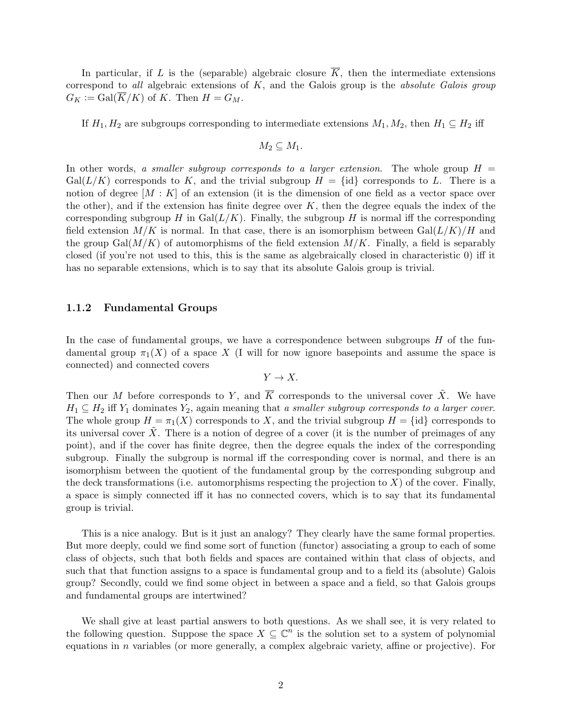In particular, if L is the (separable) algebraic closure  $\overline{K}$ , then the intermediate extensions correspond to all algebraic extensions of  $K$ , and the Galois group is the absolute Galois group  $G_K := \text{Gal}(K/K)$  of K. Then  $H = G_M$ .

If  $H_1, H_2$  are subgroups corresponding to intermediate extensions  $M_1, M_2$ , then  $H_1 \subseteq H_2$  iff

$$
M_2\subseteq M_1.
$$

In other words, a smaller subgroup corresponds to a larger extension. The whole group  $H =$  $Gal(L/K)$  corresponds to K, and the trivial subgroup  $H = \{id\}$  corresponds to L. There is a notion of degree  $[M:K]$  of an extension (it is the dimension of one field as a vector space over the other), and if the extension has finite degree over  $K$ , then the degree equals the index of the corresponding subgroup H in Gal $(L/K)$ . Finally, the subgroup H is normal iff the corresponding field extension  $M/K$  is normal. In that case, there is an isomorphism between  $Gal(L/K)/H$  and the group Gal $(M/K)$  of automorphisms of the field extension  $M/K$ . Finally, a field is separably closed (if you're not used to this, this is the same as algebraically closed in characteristic 0) iff it has no separable extensions, which is to say that its absolute Galois group is trivial.

#### 1.1.2 Fundamental Groups

In the case of fundamental groups, we have a correspondence between subgroups  $H$  of the fundamental group  $\pi_1(X)$  of a space X (I will for now ignore basepoints and assume the space is connected) and connected covers

$$
Y \to X.
$$

Then our M before corresponds to Y, and  $\overline{K}$  corresponds to the universal cover  $\tilde{X}$ . We have  $H_1 \subseteq H_2$  iff  $Y_1$  dominates  $Y_2$ , again meaning that a smaller subgroup corresponds to a larger cover. The whole group  $H = \pi_1(X)$  corresponds to X, and the trivial subgroup  $H = \{id\}$  corresponds to its universal cover  $\tilde{X}$ . There is a notion of degree of a cover (it is the number of preimages of any point), and if the cover has finite degree, then the degree equals the index of the corresponding subgroup. Finally the subgroup is normal iff the corresponding cover is normal, and there is an isomorphism between the quotient of the fundamental group by the corresponding subgroup and the deck transformations (i.e. automorphisms respecting the projection to  $X$ ) of the cover. Finally, a space is simply connected iff it has no connected covers, which is to say that its fundamental group is trivial.

This is a nice analogy. But is it just an analogy? They clearly have the same formal properties. But more deeply, could we find some sort of function (functor) associating a group to each of some class of objects, such that both fields and spaces are contained within that class of objects, and such that that function assigns to a space is fundamental group and to a field its (absolute) Galois group? Secondly, could we find some object in between a space and a field, so that Galois groups and fundamental groups are intertwined?

We shall give at least partial answers to both questions. As we shall see, it is very related to the following question. Suppose the space  $X \subseteq \mathbb{C}^n$  is the solution set to a system of polynomial equations in  $n$  variables (or more generally, a complex algebraic variety, affine or projective). For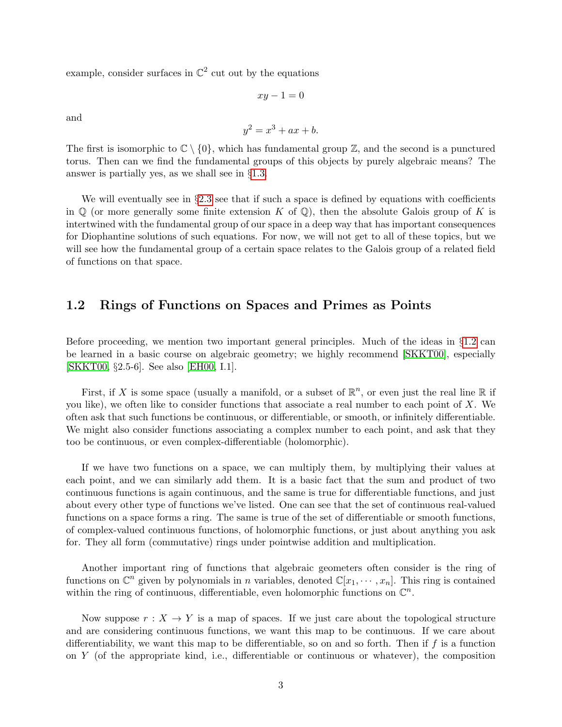example, consider surfaces in  $\mathbb{C}^2$  cut out by the equations

and

$$
y^2 = x^3 + ax + b.
$$

 $xy - 1 = 0$ 

The first is isomorphic to  $\mathbb{C} \setminus \{0\}$ , which has fundamental group  $\mathbb{Z}$ , and the second is a punctured torus. Then can we find the fundamental groups of this objects by purely algebraic means? The answer is partially yes, as we shall see in §[1.3.](#page-4-0)

We will eventually see in §[2.3](#page-21-0) see that if such a space is defined by equations with coefficients in  $\mathbb Q$  (or more generally some finite extension K of  $\mathbb Q$ ), then the absolute Galois group of K is intertwined with the fundamental group of our space in a deep way that has important consequences for Diophantine solutions of such equations. For now, we will not get to all of these topics, but we will see how the fundamental group of a certain space relates to the Galois group of a related field of functions on that space.

# <span id="page-2-0"></span>1.2 Rings of Functions on Spaces and Primes as Points

Before proceeding, we mention two important general principles. Much of the ideas in §[1.2](#page-2-0) can be learned in a basic course on algebraic geometry; we highly recommend [\[SKKT00\]](#page-26-0), especially [\[SKKT00,](#page-26-0) §2.5-6]. See also [\[EH00,](#page-25-0) I.1].

First, if X is some space (usually a manifold, or a subset of  $\mathbb{R}^n$ , or even just the real line  $\mathbb R$  if you like), we often like to consider functions that associate a real number to each point of  $X$ . We often ask that such functions be continuous, or differentiable, or smooth, or infinitely differentiable. We might also consider functions associating a complex number to each point, and ask that they too be continuous, or even complex-differentiable (holomorphic).

If we have two functions on a space, we can multiply them, by multiplying their values at each point, and we can similarly add them. It is a basic fact that the sum and product of two continuous functions is again continuous, and the same is true for differentiable functions, and just about every other type of functions we've listed. One can see that the set of continuous real-valued functions on a space forms a ring. The same is true of the set of differentiable or smooth functions, of complex-valued continuous functions, of holomorphic functions, or just about anything you ask for. They all form (commutative) rings under pointwise addition and multiplication.

Another important ring of functions that algebraic geometers often consider is the ring of functions on  $\mathbb{C}^n$  given by polynomials in n variables, denoted  $\mathbb{C}[x_1,\dots,x_n]$ . This ring is contained within the ring of continuous, differentiable, even holomorphic functions on  $\mathbb{C}^n$ .

Now suppose  $r : X \to Y$  is a map of spaces. If we just care about the topological structure and are considering continuous functions, we want this map to be continuous. If we care about differentiability, we want this map to be differentiable, so on and so forth. Then if  $f$  is a function on  $Y$  (of the appropriate kind, i.e., differentiable or continuous or whatever), the composition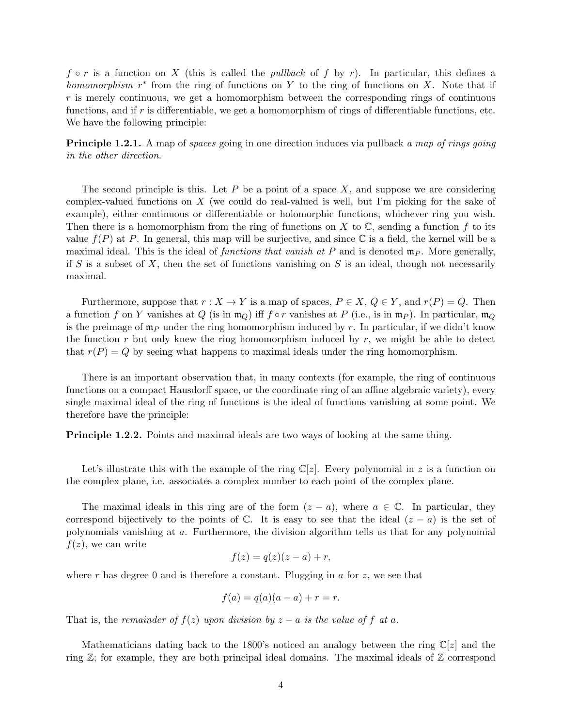$f \circ r$  is a function on X (this is called the *pullback* of f by r). In particular, this defines a homomorphism  $r^*$  from the ring of functions on Y to the ring of functions on X. Note that if  $r$  is merely continuous, we get a homomorphism between the corresponding rings of continuous functions, and if  $r$  is differentiable, we get a homomorphism of rings of differentiable functions, etc. We have the following principle:

<span id="page-3-0"></span>**Principle 1.2.1.** A map of spaces going in one direction induces via pullback a map of rings going in the other direction.

The second principle is this. Let  $P$  be a point of a space  $X$ , and suppose we are considering complex-valued functions on X (we could do real-valued is well, but I'm picking for the sake of example), either continuous or differentiable or holomorphic functions, whichever ring you wish. Then there is a homomorphism from the ring of functions on X to  $\mathbb C$ , sending a function f to its value  $f(P)$  at P. In general, this map will be surjective, and since  $\mathbb C$  is a field, the kernel will be a maximal ideal. This is the ideal of functions that vanish at P and is denoted  $\mathfrak{m}_P$ . More generally, if S is a subset of X, then the set of functions vanishing on S is an ideal, though not necessarily maximal.

Furthermore, suppose that  $r : X \to Y$  is a map of spaces,  $P \in X$ ,  $Q \in Y$ , and  $r(P) = Q$ . Then a function f on Y vanishes at Q (is in  $m_Q$ ) iff  $f \circ r$  vanishes at P (i.e., is in  $m_P$ ). In particular,  $m_Q$ is the preimage of  $\mathfrak{m}_P$  under the ring homomorphism induced by r. In particular, if we didn't know the function r but only knew the ring homomorphism induced by  $r$ , we might be able to detect that  $r(P) = Q$  by seeing what happens to maximal ideals under the ring homomorphism.

There is an important observation that, in many contexts (for example, the ring of continuous functions on a compact Hausdorff space, or the coordinate ring of an affine algebraic variety), every single maximal ideal of the ring of functions is the ideal of functions vanishing at some point. We therefore have the principle:

Principle 1.2.2. Points and maximal ideals are two ways of looking at the same thing.

Let's illustrate this with the example of the ring  $\mathbb{C}[z]$ . Every polynomial in z is a function on the complex plane, i.e. associates a complex number to each point of the complex plane.

The maximal ideals in this ring are of the form  $(z - a)$ , where  $a \in \mathbb{C}$ . In particular, they correspond bijectively to the points of  $\mathbb C$ . It is easy to see that the ideal  $(z - a)$  is the set of polynomials vanishing at a. Furthermore, the division algorithm tells us that for any polynomial  $f(z)$ , we can write

$$
f(z) = q(z)(z - a) + r,
$$

where r has degree 0 and is therefore a constant. Plugging in  $a$  for  $z$ , we see that

$$
f(a) = q(a)(a - a) + r = r.
$$

That is, the remainder of  $f(z)$  upon division by  $z - a$  is the value of f at a.

Mathematicians dating back to the 1800's noticed an analogy between the ring  $\mathbb{C}[z]$  and the ring  $\mathbb{Z}$ ; for example, they are both principal ideal domains. The maximal ideals of  $\mathbb Z$  correspond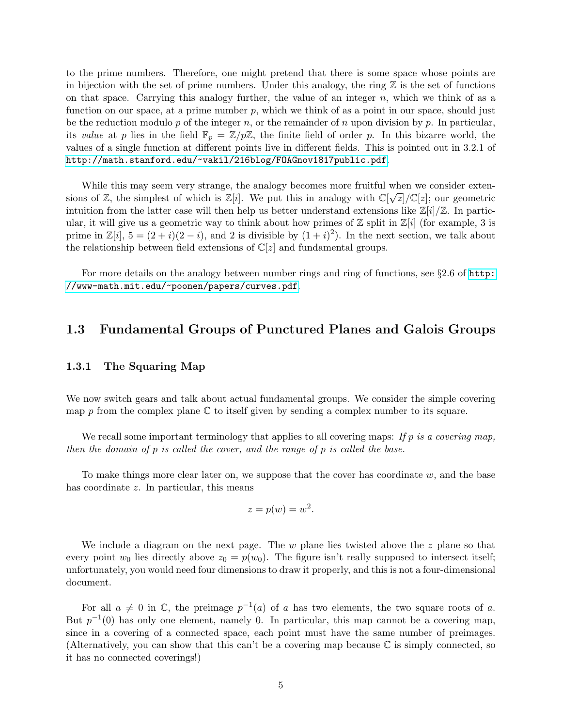to the prime numbers. Therefore, one might pretend that there is some space whose points are in bijection with the set of prime numbers. Under this analogy, the ring  $\mathbb Z$  is the set of functions on that space. Carrying this analogy further, the value of an integer  $n$ , which we think of as a function on our space, at a prime number  $p$ , which we think of as a point in our space, should just be the reduction modulo p of the integer n, or the remainder of n upon division by p. In particular, its value at p lies in the field  $\mathbb{F}_p = \mathbb{Z}/p\mathbb{Z}$ , the finite field of order p. In this bizarre world, the values of a single function at different points live in different fields. This is pointed out in 3.2.1 of <http://math.stanford.edu/~vakil/216blog/FOAGnov1817public.pdf>.

While this may seem very strange, the analogy becomes more fruitful when we consider exten-<br>  $\mathcal{L}(\mathcal{L})$ sions of Z, the simplest of which is  $\mathbb{Z}[i]$ . We put this in analogy with  $\mathbb{C}[\sqrt{z}]/\mathbb{C}[z]$ ; our geometric intuition from the latter case will then help us better understand extensions like  $\mathbb{Z}[i]/\mathbb{Z}$ . In particular, it will give us a geometric way to think about how primes of  $\mathbb Z$  split in  $\mathbb Z[i]$  (for example, 3 is prime in  $\mathbb{Z}[i], 5 = (2+i)(2-i)$ , and 2 is divisible by  $(1+i)^2$ ). In the next section, we talk about the relationship between field extensions of  $\mathbb{C}[z]$  and fundamental groups.

For more details on the analogy between number rings and ring of functions, see §2.6 of [http:](http://www-math.mit.edu/~poonen/papers/curves.pdf) [//www-math.mit.edu/~poonen/papers/curves.pdf](http://www-math.mit.edu/~poonen/papers/curves.pdf).

# <span id="page-4-0"></span>1.3 Fundamental Groups of Punctured Planes and Galois Groups

#### 1.3.1 The Squaring Map

We now switch gears and talk about actual fundamental groups. We consider the simple covering map  $p$  from the complex plane  $\mathbb C$  to itself given by sending a complex number to its square.

We recall some important terminology that applies to all covering maps: If p is a covering map, then the domain of  $p$  is called the cover, and the range of  $p$  is called the base.

To make things more clear later on, we suppose that the cover has coordinate  $w$ , and the base has coordinate z. In particular, this means

$$
z = p(w) = w^2.
$$

We include a diagram on the next page. The  $w$  plane lies twisted above the  $z$  plane so that every point  $w_0$  lies directly above  $z_0 = p(w_0)$ . The figure isn't really supposed to intersect itself; unfortunately, you would need four dimensions to draw it properly, and this is not a four-dimensional document.

For all  $a \neq 0$  in  $\mathbb{C}$ , the preimage  $p^{-1}(a)$  of a has two elements, the two square roots of a. But  $p^{-1}(0)$  has only one element, namely 0. In particular, this map cannot be a covering map, since in a covering of a connected space, each point must have the same number of preimages. (Alternatively, you can show that this can't be a covering map because  $\mathbb C$  is simply connected, so it has no connected coverings!)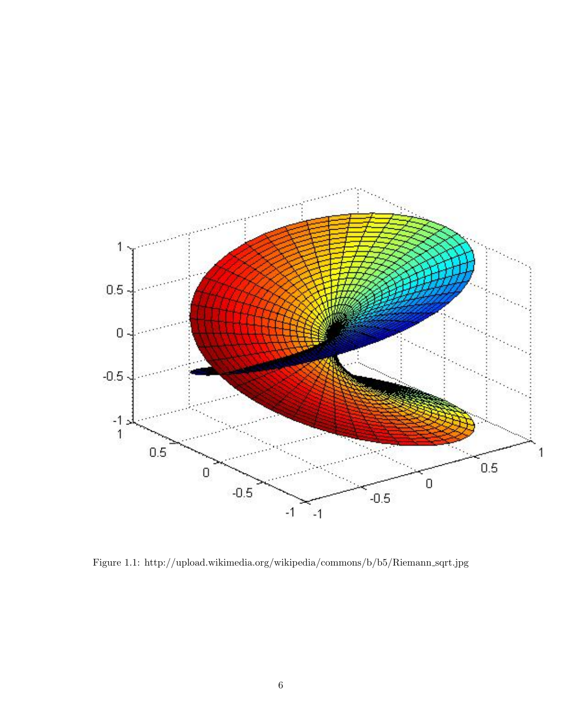

Figure 1.1: http://upload.wikimedia.org/wikipedia/commons/b/b5/Riemann sqrt.jpg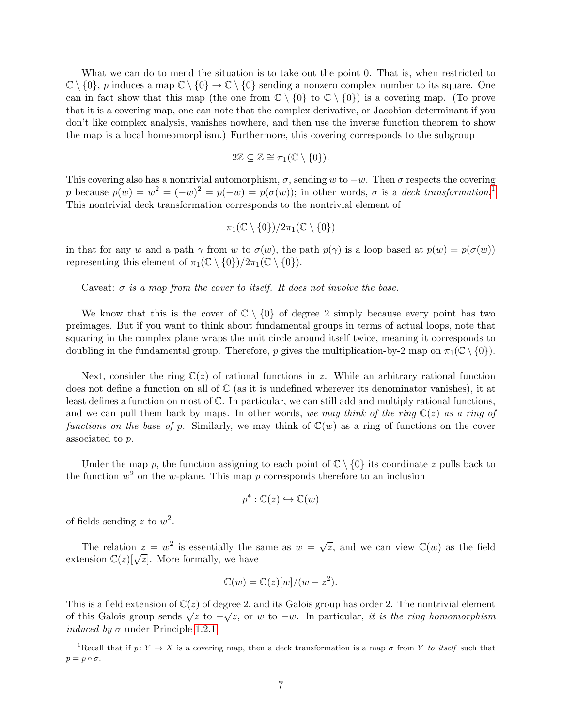What we can do to mend the situation is to take out the point 0. That is, when restricted to  $\mathbb{C} \setminus \{0\}$ , p induces a map  $\mathbb{C} \setminus \{0\} \to \mathbb{C} \setminus \{0\}$  sending a nonzero complex number to its square. One can in fact show that this map (the one from  $\mathbb{C} \setminus \{0\}$  to  $\mathbb{C} \setminus \{0\}$ ) is a covering map. (To prove that it is a covering map, one can note that the complex derivative, or Jacobian determinant if you don't like complex analysis, vanishes nowhere, and then use the inverse function theorem to show the map is a local homeomorphism.) Furthermore, this covering corresponds to the subgroup

$$
2\mathbb{Z} \subseteq \mathbb{Z} \cong \pi_1(\mathbb{C} \setminus \{0\}).
$$

This covering also has a nontrivial automorphism,  $\sigma$ , sending w to  $-w$ . Then  $\sigma$  respects the covering p because  $p(w) = w^2 = (-w)^2 = p(-w) = p(\sigma(w));$  in other words,  $\sigma$  is a deck transformation.<sup>[1](#page-6-0)</sup> This nontrivial deck transformation corresponds to the nontrivial element of

$$
\pi_1(\mathbb{C}\setminus\{0\})/2\pi_1(\mathbb{C}\setminus\{0\})
$$

in that for any w and a path  $\gamma$  from w to  $\sigma(w)$ , the path  $p(\gamma)$  is a loop based at  $p(w) = p(\sigma(w))$ representing this element of  $\pi_1(\mathbb{C} \setminus \{0\})/2\pi_1(\mathbb{C} \setminus \{0\}).$ 

Caveat:  $\sigma$  is a map from the cover to itself. It does not involve the base.

We know that this is the cover of  $\mathbb{C} \setminus \{0\}$  of degree 2 simply because every point has two preimages. But if you want to think about fundamental groups in terms of actual loops, note that squaring in the complex plane wraps the unit circle around itself twice, meaning it corresponds to doubling in the fundamental group. Therefore, p gives the multiplication-by-2 map on  $\pi_1(\mathbb{C} \setminus \{0\})$ .

Next, consider the ring  $\mathbb{C}(z)$  of rational functions in z. While an arbitrary rational function does not define a function on all of  $\mathbb C$  (as it is undefined wherever its denominator vanishes), it at least defines a function on most of C. In particular, we can still add and multiply rational functions, and we can pull them back by maps. In other words, we may think of the ring  $\mathbb{C}(z)$  as a ring of functions on the base of p. Similarly, we may think of  $\mathbb{C}(w)$  as a ring of functions on the cover associated to p.

Under the map p, the function assigning to each point of  $\mathbb{C} \setminus \{0\}$  its coordinate z pulls back to the function  $w^2$  on the w-plane. This map p corresponds therefore to an inclusion

$$
p^* : \mathbb{C}(z) \hookrightarrow \mathbb{C}(w)
$$

of fields sending z to  $w^2$ .

The relation  $z = w^2$  is essentially the same as  $w =$  $\sqrt{z}$ , and we can view  $\mathbb{C}(w)$  as the field The relation  $z = w$  is essentially the s<br>extension  $\mathbb{C}(z)[\sqrt{z}]$ . More formally, we have

$$
\mathbb{C}(w) = \mathbb{C}(z)[w]/(w - z^2).
$$

This is a field extension of  $\mathbb{C}(z)$  of degree 2, and its Galois group has order 2. The nontrivial element This is a neid extension of  $\mathbb{C}(z)$  or degree 2, and its Galois group has order 2. The nontrivial element of this Galois group sends  $\sqrt{z}$  to  $-\sqrt{z}$ , or w to  $-w$ . In particular, it is the ring homomorphism *induced by*  $\sigma$  under Principle [1.2.1.](#page-3-0)

<span id="page-6-0"></span><sup>&</sup>lt;sup>1</sup>Recall that if  $p: Y \to X$  is a covering map, then a deck transformation is a map  $\sigma$  from Y to itself such that  $p = p \circ \sigma$ .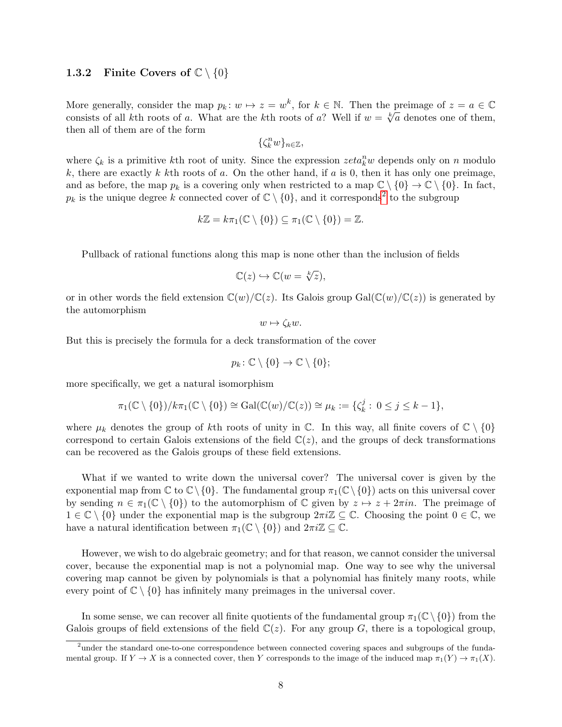#### <span id="page-7-1"></span>1.3.2 Finite Covers of  $\mathbb{C} \setminus \{0\}$

More generally, consider the map  $p_k \colon w \mapsto z = w^k$ , for  $k \in \mathbb{N}$ . Then the preimage of  $z = a \in \mathbb{C}$ consists of all kth roots of a. What are the kth roots of a? Well if  $w = \sqrt[k]{a}$  denotes one of them, then all of them are of the form

$$
\{\zeta_k^n w\}_{n\in\mathbb{Z}},
$$

where  $\zeta_k$  is a primitive kth root of unity. Since the expression  $zeta_k^n$  depends only on n modulo k, there are exactly k kth roots of a. On the other hand, if a is 0, then it has only one preimage, and as before, the map  $p_k$  is a covering only when restricted to a map  $\mathbb{C} \setminus \{0\} \to \mathbb{C} \setminus \{0\}$ . In fact,  $p_k$  is the unique degree k connected cover of  $\mathbb{C} \setminus \{0\}$ , and it corresponds<sup>[2](#page-7-0)</sup> to the subgroup

$$
k\mathbb{Z}=k\pi_1(\mathbb{C}\setminus\{0\})\subseteq\pi_1(\mathbb{C}\setminus\{0\})=\mathbb{Z}.
$$

Pullback of rational functions along this map is none other than the inclusion of fields

$$
\mathbb{C}(z) \hookrightarrow \mathbb{C}(w = \sqrt[k]{z}),
$$

or in other words the field extension  $\mathbb{C}(w)/\mathbb{C}(z)$ . Its Galois group Gal $(\mathbb{C}(w)/\mathbb{C}(z))$  is generated by the automorphism

$$
w \mapsto \zeta_k w.
$$

But this is precisely the formula for a deck transformation of the cover

$$
p_k \colon \mathbb{C} \setminus \{0\} \to \mathbb{C} \setminus \{0\};
$$

more specifically, we get a natural isomorphism

$$
\pi_1(\mathbb{C}\setminus\{0\})/k\pi_1(\mathbb{C}\setminus\{0\})\cong \mathrm{Gal}(\mathbb{C}(w)/\mathbb{C}(z))\cong \mu_k:=\{\zeta_k^j:\ 0\leq j\leq k-1\},
$$

where  $\mu_k$  denotes the group of kth roots of unity in C. In this way, all finite covers of  $\mathbb{C} \setminus \{0\}$ correspond to certain Galois extensions of the field  $\mathbb{C}(z)$ , and the groups of deck transformations can be recovered as the Galois groups of these field extensions.

What if we wanted to write down the universal cover? The universal cover is given by the exponential map from  $\mathbb{C}$  to  $\mathbb{C}\setminus\{0\}$ . The fundamental group  $\pi_1(\mathbb{C}\setminus\{0\})$  acts on this universal cover by sending  $n \in \pi_1(\mathbb{C} \setminus \{0\})$  to the automorphism of  $\mathbb C$  given by  $z \mapsto z + 2\pi in$ . The preimage of  $1 \in \mathbb{C} \setminus \{0\}$  under the exponential map is the subgroup  $2\pi i \mathbb{Z} \subseteq \mathbb{C}$ . Choosing the point  $0 \in \mathbb{C}$ , we have a natural identification between  $\pi_1(\mathbb{C} \setminus \{0\})$  and  $2\pi i \mathbb{Z} \subseteq \mathbb{C}$ .

However, we wish to do algebraic geometry; and for that reason, we cannot consider the universal cover, because the exponential map is not a polynomial map. One way to see why the universal covering map cannot be given by polynomials is that a polynomial has finitely many roots, while every point of  $\mathbb{C} \setminus \{0\}$  has infinitely many preimages in the universal cover.

In some sense, we can recover all finite quotients of the fundamental group  $\pi_1(\mathbb{C}\setminus\{0\})$  from the Galois groups of field extensions of the field  $\mathbb{C}(z)$ . For any group G, there is a topological group,

<span id="page-7-0"></span><sup>&</sup>lt;sup>2</sup> under the standard one-to-one correspondence between connected covering spaces and subgroups of the fundamental group. If  $Y \to X$  is a connected cover, then Y corresponds to the image of the induced map  $\pi_1(Y) \to \pi_1(X)$ .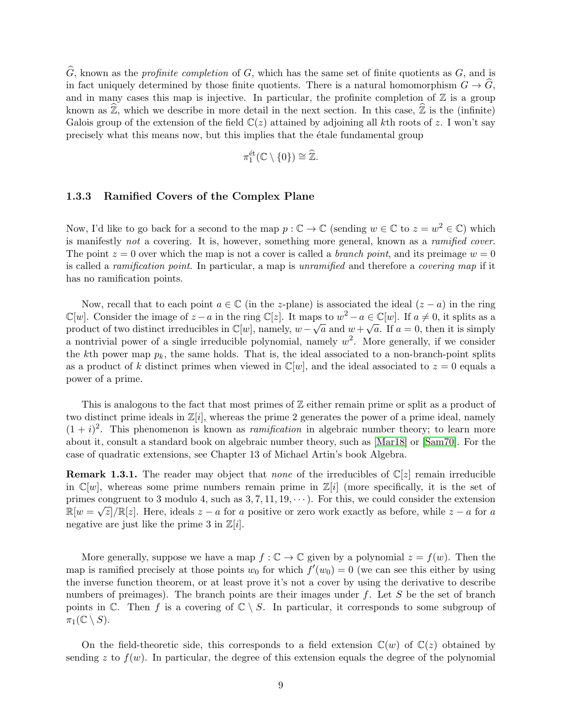$\widehat{G}$ , known as the *profinite completion* of G, which has the same set of finite quotients as G, and is in fact uniquely determined by those finite quotients. There is a natural homomorphism  $G \to \widehat{G}$ , and in many cases this map is injective. In particular, the profinite completion of  $\mathbb Z$  is a group known as  $\mathbb{Z}$ , which we describe in more detail in the next section. In this case,  $\mathbb{Z}$  is the (infinite) Galois group of the extension of the field  $\mathbb{C}(z)$  attained by adjoining all kth roots of z. I won't say precisely what this means now, but this implies that the étale fundamental group

$$
\pi_1^{\text{\'et}}(\mathbb{C}\setminus\{0\})\cong\widehat{\mathbb{Z}}.
$$

#### <span id="page-8-0"></span>1.3.3 Ramified Covers of the Complex Plane

Now, I'd like to go back for a second to the map  $p: \mathbb{C} \to \mathbb{C}$  (sending  $w \in \mathbb{C}$  to  $z = w^2 \in \mathbb{C}$ ) which is manifestly not a covering. It is, however, something more general, known as a ramified cover. The point  $z = 0$  over which the map is not a cover is called a *branch point*, and its preimage  $w = 0$ is called a ramification point. In particular, a map is unramified and therefore a covering map if it has no ramification points.

Now, recall that to each point  $a \in \mathbb{C}$  (in the z-plane) is associated the ideal  $(z - a)$  in the ring  $\mathbb{C}[w]$ . Consider the image of  $z - a$  in the ring  $\mathbb{C}[z]$ . It maps to  $w^2 - a \in \mathbb{C}[w]$ . If  $a \neq 0$ , it splits as a  $\cup$ [w]. Consider the image of  $z - a$  in the ring  $\cup$ [z]. It maps<br>product of two distinct irreducibles in  $\mathbb{C}[w]$ , namely,  $w - \sqrt{ }$  $\overline{a}$  and  $w+$ √  $\overline{a}$ . If  $a = 0$ , then it is simply a nontrivial power of a single irreducible polynomial, namely  $w^2$ . More generally, if we consider the kth power map  $p_k$ , the same holds. That is, the ideal associated to a non-branch-point splits as a product of k distinct primes when viewed in  $\mathbb{C}[w]$ , and the ideal associated to  $z = 0$  equals a power of a prime.

This is analogous to the fact that most primes of  $\mathbb Z$  either remain prime or split as a product of two distinct prime ideals in  $\mathbb{Z}[i]$ , whereas the prime 2 generates the power of a prime ideal, namely  $(1 + i)^2$ . This phenomenon is known as *ramification* in algebraic number theory; to learn more about it, consult a standard book on algebraic number theory, such as [\[Mar18\]](#page-26-1) or [\[Sam70\]](#page-26-2). For the case of quadratic extensions, see Chapter 13 of Michael Artin's book Algebra.

**Remark 1.3.1.** The reader may object that none of the irreducibles of  $\mathbb{C}[z]$  remain irreducible in  $\mathbb{C}[w]$ , whereas some prime numbers remain prime in  $\mathbb{Z}[i]$  (more specifically, it is the set of primes congruent to 3 modulo 4, such as  $3, 7, 11, 19, \dots$ ). For this, we could consider the extension  $\mathbb{R}[w=\sqrt{z}]/\mathbb{R}[z]$ . Here, ideals  $z-a$  for a positive or zero work exactly as before, while  $z-a$  for a negative are just like the prime 3 in  $\mathbb{Z}[i]$ .

More generally, suppose we have a map  $f : \mathbb{C} \to \mathbb{C}$  given by a polynomial  $z = f(w)$ . Then the map is ramified precisely at those points  $w_0$  for which  $f'(w_0) = 0$  (we can see this either by using the inverse function theorem, or at least prove it's not a cover by using the derivative to describe numbers of preimages). The branch points are their images under  $f$ . Let  $S$  be the set of branch points in  $\mathbb{C}$ . Then f is a covering of  $\mathbb{C} \setminus S$ . In particular, it corresponds to some subgroup of  $\pi_1(\mathbb{C} \setminus S)$ .

On the field-theoretic side, this corresponds to a field extension  $\mathbb{C}(w)$  of  $\mathbb{C}(z)$  obtained by sending z to  $f(w)$ . In particular, the degree of this extension equals the degree of the polynomial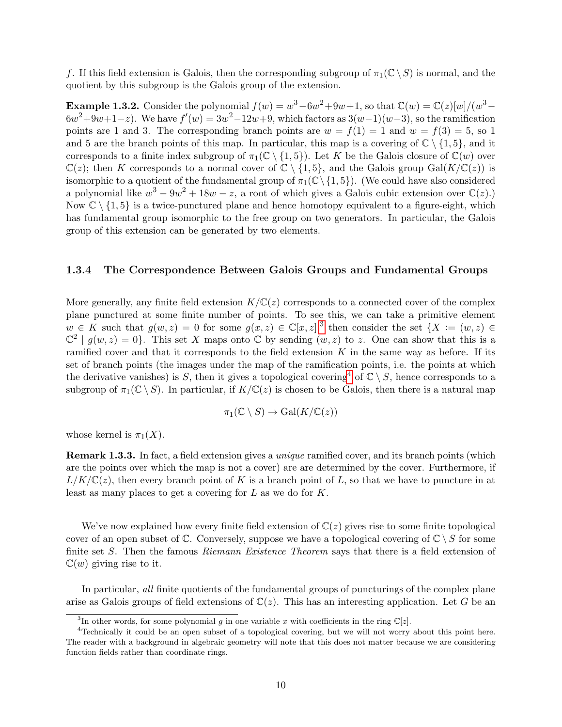f. If this field extension is Galois, then the corresponding subgroup of  $\pi_1(\mathbb{C} \setminus S)$  is normal, and the quotient by this subgroup is the Galois group of the extension.

**Example 1.3.2.** Consider the polynomial  $f(w) = w^3 - 6w^2 + 9w + 1$ , so that  $\mathbb{C}(w) = \mathbb{C}(z)[w]/(w^3 - 1)$  $6w^2+9w+1-z$ ). We have  $f'(w)=3w^2-12w+9$ , which factors as  $3(w-1)(w-3)$ , so the ramification points are 1 and 3. The corresponding branch points are  $w = f(1) = 1$  and  $w = f(3) = 5$ , so 1 and 5 are the branch points of this map. In particular, this map is a covering of  $\mathbb{C} \setminus \{1, 5\}$ , and it corresponds to a finite index subgroup of  $\pi_1(\mathbb{C} \setminus \{1,5\})$ . Let K be the Galois closure of  $\mathbb{C}(w)$  over  $\mathbb{C}(z)$ ; then K corresponds to a normal cover of  $\mathbb{C} \setminus \{1,5\}$ , and the Galois group Gal( $K/\mathbb{C}(z)$ ) is isomorphic to a quotient of the fundamental group of  $\pi_1(\mathbb{C}\setminus\{1, 5\})$ . (We could have also considered a polynomial like  $w^3 - 9w^2 + 18w - z$ , a root of which gives a Galois cubic extension over  $\mathbb{C}(z)$ . Now  $\mathbb{C} \setminus \{1, 5\}$  is a twice-punctured plane and hence homotopy equivalent to a figure-eight, which has fundamental group isomorphic to the free group on two generators. In particular, the Galois group of this extension can be generated by two elements.

#### <span id="page-9-2"></span>1.3.4 The Correspondence Between Galois Groups and Fundamental Groups

More generally, any finite field extension  $K/\mathbb{C}(z)$  corresponds to a connected cover of the complex plane punctured at some finite number of points. To see this, we can take a primitive element  $w \in K$  such that  $g(w, z) = 0$  for some  $g(x, z) \in \mathbb{C}[x, z],$ <sup>[3](#page-9-0)</sup> then consider the set  $\{X := (w, z) \in$  $\mathbb{C}^2 \mid g(w, z) = 0$ . This set X maps onto C by sending  $(w, z)$  to z. One can show that this is a ramified cover and that it corresponds to the field extension  $K$  in the same way as before. If its set of branch points (the images under the map of the ramification points, i.e. the points at which the derivative vanishes) is S, then it gives a topological covering<sup>[4](#page-9-1)</sup> of  $\mathbb{C} \setminus S$ , hence corresponds to a subgroup of  $\pi_1(\mathbb{C} \setminus S)$ . In particular, if  $K/\mathbb{C}(z)$  is chosen to be Galois, then there is a natural map

$$
\pi_1(\mathbb{C}\setminus S)\to \mathrm{Gal}(K/\mathbb{C}(z))
$$

whose kernel is  $\pi_1(X)$ .

Remark 1.3.3. In fact, a field extension gives a unique ramified cover, and its branch points (which are the points over which the map is not a cover) are are determined by the cover. Furthermore, if  $L/K/\mathbb{C}(z)$ , then every branch point of K is a branch point of L, so that we have to puncture in at least as many places to get a covering for L as we do for K.

We've now explained how every finite field extension of  $\mathbb{C}(z)$  gives rise to some finite topological cover of an open subset of  $\mathbb{C}$ . Conversely, suppose we have a topological covering of  $\mathbb{C} \setminus S$  for some finite set S. Then the famous Riemann Existence Theorem says that there is a field extension of  $\mathbb{C}(w)$  giving rise to it.

In particular, all finite quotients of the fundamental groups of puncturings of the complex plane arise as Galois groups of field extensions of  $\mathbb{C}(z)$ . This has an interesting application. Let G be an

<span id="page-9-1"></span><span id="page-9-0"></span><sup>&</sup>lt;sup>3</sup>In other words, for some polynomial g in one variable x with coefficients in the ring  $\mathbb{C}[z]$ .

<sup>4</sup>Technically it could be an open subset of a topological covering, but we will not worry about this point here. The reader with a background in algebraic geometry will note that this does not matter because we are considering function fields rather than coordinate rings.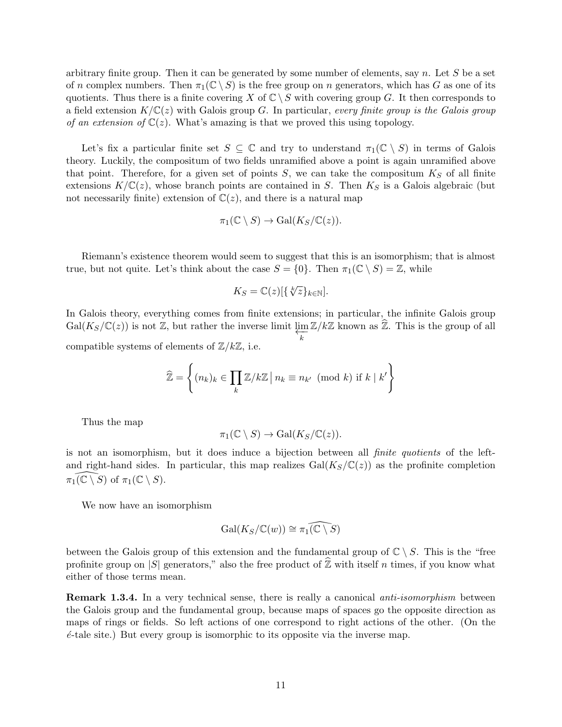arbitrary finite group. Then it can be generated by some number of elements, say  $n$ . Let S be a set of n complex numbers. Then  $\pi_1(\mathbb{C} \setminus S)$  is the free group on n generators, which has G as one of its quotients. Thus there is a finite covering X of  $\mathbb{C} \setminus S$  with covering group G. It then corresponds to a field extension  $K/\mathbb{C}(z)$  with Galois group G. In particular, every finite group is the Galois group of an extension of  $\mathbb{C}(z)$ . What's amazing is that we proved this using topology.

Let's fix a particular finite set  $S \subseteq \mathbb{C}$  and try to understand  $\pi_1(\mathbb{C} \setminus S)$  in terms of Galois theory. Luckily, the compositum of two fields unramified above a point is again unramified above that point. Therefore, for a given set of points  $S$ , we can take the compositum  $K_S$  of all finite extensions  $K/\mathbb{C}(z)$ , whose branch points are contained in S. Then  $K_S$  is a Galois algebraic (but not necessarily finite) extension of  $\mathbb{C}(z)$ , and there is a natural map

$$
\pi_1(\mathbb{C}\setminus S)\to \mathrm{Gal}(K_S/\mathbb{C}(z)).
$$

Riemann's existence theorem would seem to suggest that this is an isomorphism; that is almost true, but not quite. Let's think about the case  $S = \{0\}$ . Then  $\pi_1(\mathbb{C} \setminus S) = \mathbb{Z}$ , while

$$
K_S = \mathbb{C}(z)[\{\sqrt[k]{z}\}_{k \in \mathbb{N}}].
$$

In Galois theory, everything comes from finite extensions; in particular, the infinite Galois group  $Gal(K_S/\mathbb{C}(z))$  is not Z, but rather the inverse limit  $\varprojlim_{n} \mathbb{Z}/k\mathbb{Z}$  known as  $\widehat{\mathbb{Z}}$ . This is the group of all k

compatible systems of elements of  $\mathbb{Z}/k\mathbb{Z}$ , i.e.

$$
\widehat{\mathbb{Z}} = \left\{ (n_k)_k \in \prod_k \mathbb{Z}/k\mathbb{Z} \, | \, n_k \equiv n_{k'} \pmod{k} \text{ if } k \mid k' \right\}
$$

Thus the map

$$
\pi_1(\mathbb{C} \setminus S) \to \text{Gal}(K_S/\mathbb{C}(z)).
$$

is not an isomorphism, but it does induce a bijection between all finite quotients of the leftand right-hand sides. In particular, this map realizes  $Gal(K_S/\mathbb{C}(z))$  as the profinite completion  $\pi_1(\mathbb{C} \setminus S)$  of  $\pi_1(\mathbb{C} \setminus S)$ .

We now have an isomorphism

$$
\mathrm{Gal}(K_S/\mathbb{C}(w))\cong \widehat{\pi_1(\mathbb{C}\setminus S)}
$$

between the Galois group of this extension and the fundamental group of  $\mathbb{C} \setminus S$ . This is the "free profinite group on |S| generators," also the free product of  $\hat{\mathbb{Z}}$  with itself n times, if you know what either of those terms mean.

**Remark 1.3.4.** In a very technical sense, there is really a canonical *anti-isomorphism* between the Galois group and the fundamental group, because maps of spaces go the opposite direction as maps of rings or fields. So left actions of one correspond to right actions of the other. (On the  $\acute{e}$ -tale site.) But every group is isomorphic to its opposite via the inverse map.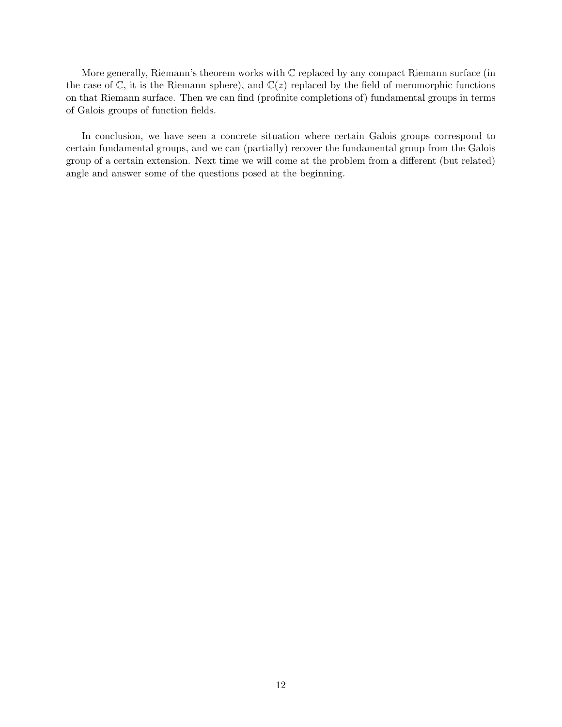More generally, Riemann's theorem works with C replaced by any compact Riemann surface (in the case of  $\mathbb{C}$ , it is the Riemann sphere), and  $\mathbb{C}(z)$  replaced by the field of meromorphic functions on that Riemann surface. Then we can find (profinite completions of) fundamental groups in terms of Galois groups of function fields.

In conclusion, we have seen a concrete situation where certain Galois groups correspond to certain fundamental groups, and we can (partially) recover the fundamental group from the Galois group of a certain extension. Next time we will come at the problem from a different (but related) angle and answer some of the questions posed at the beginning.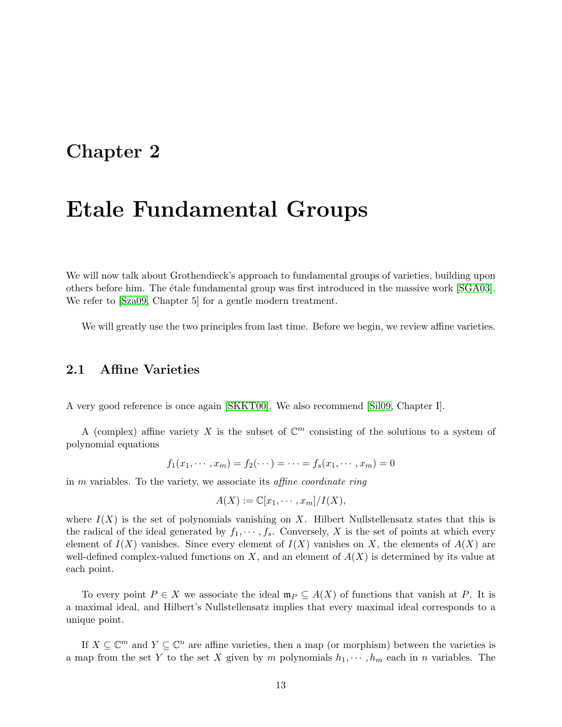# Chapter 2

# Etale Fundamental Groups

We will now talk about Grothendieck's approach to fundamental groups of varieties, building upon others before him. The étale fundamental group was first introduced in the massive work [\[SGA03\]](#page-26-3). We refer to  $[Sza09, Chapter 5]$  $[Sza09, Chapter 5]$  for a gentle modern treatment.

We will greatly use the two principles from last time. Before we begin, we review affine varieties.

# 2.1 Affine Varieties

A very good reference is once again [\[SKKT00\]](#page-26-0). We also recommend [\[Sil09,](#page-26-4) Chapter I].

A (complex) affine variety X is the subset of  $\mathbb{C}^m$  consisting of the solutions to a system of polynomial equations

$$
f_1(x_1, \dots, x_m) = f_2(\dots) = \dots = f_s(x_1, \dots, x_m) = 0
$$

in m variables. To the variety, we associate its affine coordinate ring

$$
A(X) := \mathbb{C}[x_1, \cdots, x_m]/I(X),
$$

where  $I(X)$  is the set of polynomials vanishing on X. Hilbert Nullstellensatz states that this is the radical of the ideal generated by  $f_1, \dots, f_s$ . Conversely, X is the set of points at which every element of  $I(X)$  vanishes. Since every element of  $I(X)$  vanishes on X, the elements of  $A(X)$  are well-defined complex-valued functions on  $X$ , and an element of  $A(X)$  is determined by its value at each point.

To every point  $P \in X$  we associate the ideal  $\mathfrak{m}_P \subseteq A(X)$  of functions that vanish at P. It is a maximal ideal, and Hilbert's Nullstellensatz implies that every maximal ideal corresponds to a unique point.

If  $X \subseteq \mathbb{C}^m$  and  $Y \subseteq \mathbb{C}^n$  are affine varieties, then a map (or morphism) between the varieties is a map from the set Y to the set X given by m polynomials  $h_1, \dots, h_m$  each in n variables. The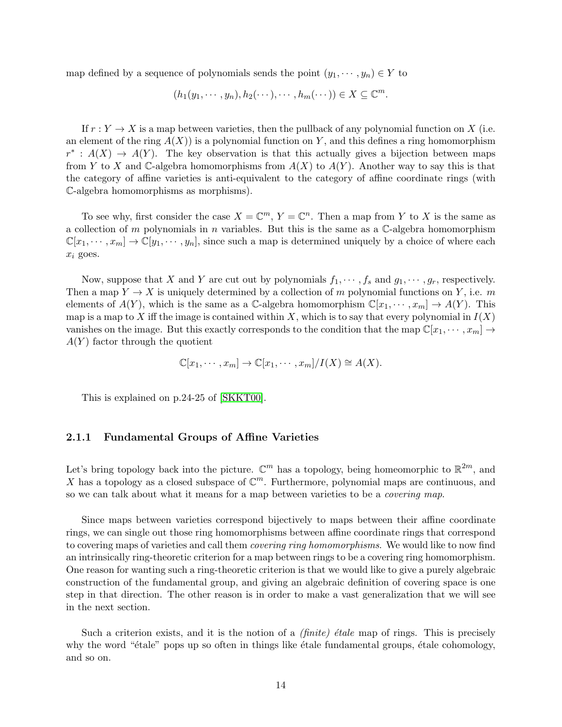map defined by a sequence of polynomials sends the point  $(y_1, \dots, y_n) \in Y$  to

$$
(h_1(y_1,\dots,y_n),h_2(\dots),\dots,h_m(\dots))\in X\subseteq\mathbb{C}^m.
$$

If  $r: Y \to X$  is a map between varieties, then the pullback of any polynomial function on X (i.e. an element of the ring  $A(X)$  is a polynomial function on Y, and this defines a ring homomorphism  $r^* : A(X) \to A(Y)$ . The key observation is that this actually gives a bijection between maps from Y to X and C-algebra homomorphisms from  $A(X)$  to  $A(Y)$ . Another way to say this is that the category of affine varieties is anti-equivalent to the category of affine coordinate rings (with C-algebra homomorphisms as morphisms).

To see why, first consider the case  $X = \mathbb{C}^m$ ,  $Y = \mathbb{C}^n$ . Then a map from Y to X is the same as a collection of m polynomials in n variables. But this is the same as a  $\mathbb{C}\text{-algebra homomorphism}$  $\mathbb{C}[x_1,\dots,x_m] \to \mathbb{C}[y_1,\dots,y_n]$ , since such a map is determined uniquely by a choice of where each  $x_i$  goes.

Now, suppose that X and Y are cut out by polynomials  $f_1, \dots, f_s$  and  $g_1, \dots, g_r$ , respectively. Then a map  $Y \to X$  is uniquely determined by a collection of m polynomial functions on Y, i.e. m elements of  $A(Y)$ , which is the same as a C-algebra homomorphism  $\mathbb{C}[x_1, \dots, x_m] \to A(Y)$ . This map is a map to X iff the image is contained within X, which is to say that every polynomial in  $I(X)$ vanishes on the image. But this exactly corresponds to the condition that the map  $\mathbb{C}[x_1, \dots, x_m] \to$  $A(Y)$  factor through the quotient

$$
\mathbb{C}[x_1,\dots,x_m] \to \mathbb{C}[x_1,\dots,x_m]/I(X) \cong A(X).
$$

This is explained on p.24-25 of [\[SKKT00\]](#page-26-0).

#### 2.1.1 Fundamental Groups of Affine Varieties

Let's bring topology back into the picture.  $\mathbb{C}^m$  has a topology, being homeomorphic to  $\mathbb{R}^{2m}$ , and X has a topology as a closed subspace of  $\mathbb{C}^m$ . Furthermore, polynomial maps are continuous, and so we can talk about what it means for a map between varieties to be a covering map.

Since maps between varieties correspond bijectively to maps between their affine coordinate rings, we can single out those ring homomorphisms between affine coordinate rings that correspond to covering maps of varieties and call them *covering ring homomorphisms*. We would like to now find an intrinsically ring-theoretic criterion for a map between rings to be a covering ring homomorphism. One reason for wanting such a ring-theoretic criterion is that we would like to give a purely algebraic construction of the fundamental group, and giving an algebraic definition of covering space is one step in that direction. The other reason is in order to make a vast generalization that we will see in the next section.

Such a criterion exists, and it is the notion of a *(finite) étale* map of rings. This is precisely why the word "etale" pops up so often in things like etale fundamental groups, etale cohomology, and so on.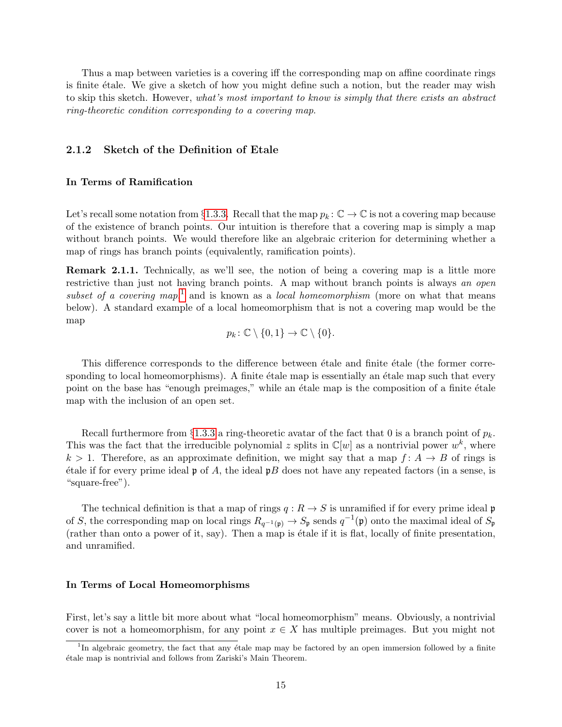Thus a map between varieties is a covering iff the corresponding map on affine coordinate rings is finite étale. We give a sketch of how you might define such a notion, but the reader may wish to skip this sketch. However, what's most important to know is simply that there exists an abstract ring-theoretic condition corresponding to a covering map.

#### 2.1.2 Sketch of the Definition of Etale

#### In Terms of Ramification

Let's recall some notation from §[1.3.3.](#page-8-0) Recall that the map  $p_k : \mathbb{C} \to \mathbb{C}$  is not a covering map because of the existence of branch points. Our intuition is therefore that a covering map is simply a map without branch points. We would therefore like an algebraic criterion for determining whether a map of rings has branch points (equivalently, ramification points).

<span id="page-14-1"></span>Remark 2.1.1. Technically, as we'll see, the notion of being a covering map is a little more restrictive than just not having branch points. A map without branch points is always an open subset of a covering map,<sup>[1](#page-14-0)</sup> and is known as a local homeomorphism (more on what that means below). A standard example of a local homeomorphism that is not a covering map would be the map

$$
p_k \colon \mathbb{C} \setminus \{0,1\} \to \mathbb{C} \setminus \{0\}.
$$

This difference corresponds to the difference between étale and finite étale (the former corresponding to local homeomorphisms). A finite étale map is essentially an étale map such that every point on the base has "enough preimages," while an étale map is the composition of a finite étale map with the inclusion of an open set.

Recall furthermore from §[1.3.3](#page-8-0) a ring-theoretic avatar of the fact that 0 is a branch point of  $p_k$ . This was the fact that the irreducible polynomial z splits in  $\mathbb{C}[w]$  as a nontrivial power  $w^k$ , where  $k > 1$ . Therefore, as an approximate definition, we might say that a map  $f: A \rightarrow B$  of rings is  $\phi$  etale if for every prime ideal p of A, the ideal pB does not have any repeated factors (in a sense, is "square-free").

The technical definition is that a map of rings  $q: R \to S$  is unramified if for every prime ideal p of S, the corresponding map on local rings  $R_{q^{-1}(\mathfrak{p})} \to S_{\mathfrak{p}}$  sends  $q^{-1}(\mathfrak{p})$  onto the maximal ideal of  $S_{\mathfrak{p}}$ (rather than onto a power of it, say). Then a map is étale if it is flat, locally of finite presentation, and unramified.

#### In Terms of Local Homeomorphisms

First, let's say a little bit more about what "local homeomorphism" means. Obviously, a nontrivial cover is not a homeomorphism, for any point  $x \in X$  has multiple preimages. But you might not

<span id="page-14-0"></span><sup>&</sup>lt;sup>1</sup>In algebraic geometry, the fact that any étale map may be factored by an open immersion followed by a finite ´etale map is nontrivial and follows from Zariski's Main Theorem.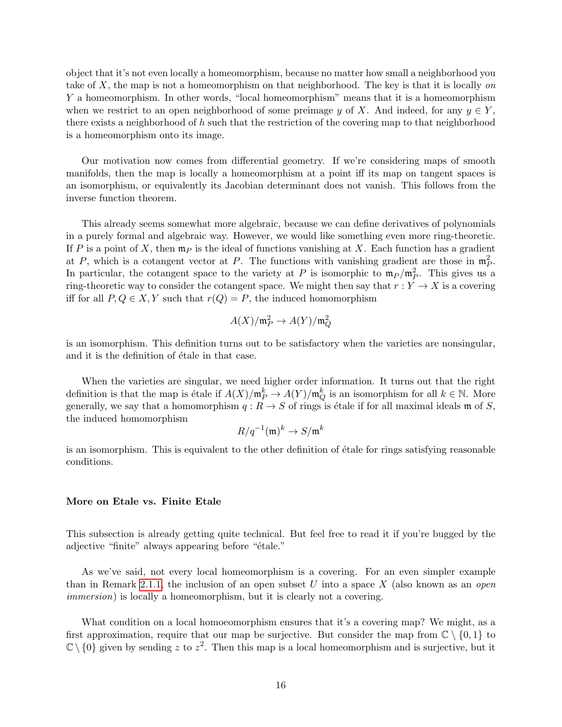object that it's not even locally a homeomorphism, because no matter how small a neighborhood you take of  $X$ , the map is not a homeomorphism on that neighborhood. The key is that it is locally on Y a homeomorphism. In other words, "local homeomorphism" means that it is a homeomorphism when we restrict to an open neighborhood of some preimage y of X. And indeed, for any  $y \in Y$ , there exists a neighborhood of h such that the restriction of the covering map to that neighborhood is a homeomorphism onto its image.

Our motivation now comes from differential geometry. If we're considering maps of smooth manifolds, then the map is locally a homeomorphism at a point iff its map on tangent spaces is an isomorphism, or equivalently its Jacobian determinant does not vanish. This follows from the inverse function theorem.

This already seems somewhat more algebraic, because we can define derivatives of polynomials in a purely formal and algebraic way. However, we would like something even more ring-theoretic. If P is a point of X, then  $\mathfrak{m}_P$  is the ideal of functions vanishing at X. Each function has a gradient at P, which is a cotangent vector at P. The functions with vanishing gradient are those in  $\mathfrak{m}_P^2$ . In particular, the cotangent space to the variety at P is isomorphic to  $m_P / m_P^2$ . This gives us a ring-theoretic way to consider the cotangent space. We might then say that  $r: Y \to X$  is a covering iff for all  $P, Q \in X, Y$  such that  $r(Q) = P$ , the induced homomorphism

$$
A(X)/\mathfrak{m}_P^2 \to A(Y)/\mathfrak{m}_Q^2
$$

is an isomorphism. This definition turns out to be satisfactory when the varieties are nonsingular, and it is the definition of  $\acute{e}$ tale in that case.

When the varieties are singular, we need higher order information. It turns out that the right definition is that the map is étale if  $A(X)/\mathfrak{m}_P^k \to A(Y)/\mathfrak{m}_Q^k$  is an isomorphism for all  $k \in \mathbb{N}$ . More generally, we say that a homomorphism  $q : R \to S$  of rings is étale if for all maximal ideals m of S, the induced homomorphism

$$
R/q^{-1}(\mathfrak{m})^k \to S/\mathfrak{m}^k
$$

is an isomorphism. This is equivalent to the other definition of étale for rings satisfying reasonable conditions.

#### More on Etale vs. Finite Etale

This subsection is already getting quite technical. But feel free to read it if you're bugged by the adjective "finite" always appearing before "étale."

As we've said, not every local homeomorphism is a covering. For an even simpler example than in Remark [2.1.1,](#page-14-1) the inclusion of an open subset U into a space X (also known as an *open* immersion) is locally a homeomorphism, but it is clearly not a covering.

What condition on a local homoeomorphism ensures that it's a covering map? We might, as a first approximation, require that our map be surjective. But consider the map from  $\mathbb{C} \setminus \{0,1\}$  to  $\mathbb{C}\setminus\{0\}$  given by sending z to  $z^2$ . Then this map is a local homeomorphism and is surjective, but it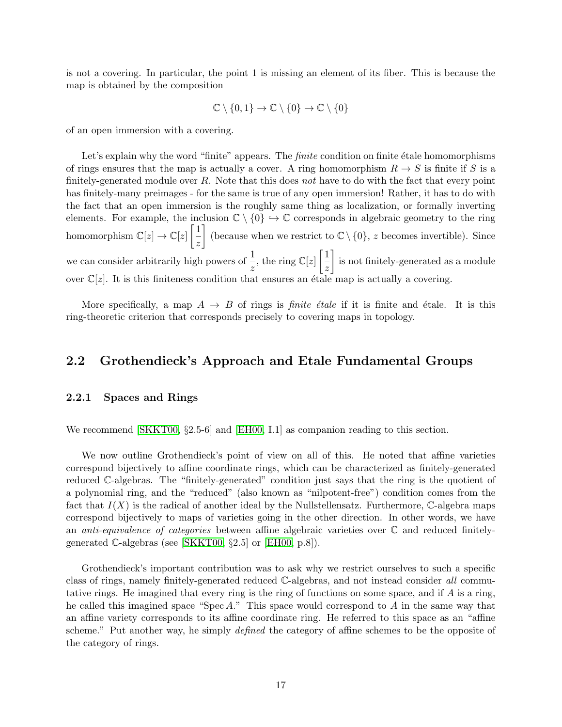is not a covering. In particular, the point 1 is missing an element of its fiber. This is because the map is obtained by the composition

$$
\mathbb{C}\setminus\{0,1\}\to\mathbb{C}\setminus\{0\}\to\mathbb{C}\setminus\{0\}
$$

of an open immersion with a covering.

Let's explain why the word "finite" appears. The *finite* condition on finite  $\acute{e}$ tale homomorphisms of rings ensures that the map is actually a cover. A ring homomorphism  $R \to S$  is finite if S is a finitely-generated module over  $R$ . Note that this does not have to do with the fact that every point has finitely-many preimages - for the same is true of any open immersion! Rather, it has to do with the fact that an open immersion is the roughly same thing as localization, or formally inverting elements. For example, the inclusion  $\mathbb{C} \setminus \{0\} \hookrightarrow \mathbb{C}$  corresponds in algebraic geometry to the ring homomorphism  $\mathbb{C}[z] \to \mathbb{C}[z] \left[ \frac{1}{z} \right]$ z (because when we restrict to  $\mathbb{C} \setminus \{0\}$ , z becomes invertible). Since we can consider arbitrarily high powers of  $\frac{1}{z}$ , the ring  $\mathbb{C}[z]$   $\left[\frac{1}{z}\right]$ z is not finitely-generated as a module over  $\mathbb{C}[z]$ . It is this finiteness condition that ensures an étale map is actually a covering.

More specifically, a map  $A \rightarrow B$  of rings is *finite étale* if it is finite and étale. It is this ring-theoretic criterion that corresponds precisely to covering maps in topology.

# 2.2 Grothendieck's Approach and Etale Fundamental Groups

#### 2.2.1 Spaces and Rings

We recommend [\[SKKT00,](#page-26-0) §2.5-6] and [\[EH00,](#page-25-0) I.1] as companion reading to this section.

We now outline Grothendieck's point of view on all of this. He noted that affine varieties correspond bijectively to affine coordinate rings, which can be characterized as finitely-generated reduced C-algebras. The "finitely-generated" condition just says that the ring is the quotient of a polynomial ring, and the "reduced" (also known as "nilpotent-free") condition comes from the fact that  $I(X)$  is the radical of another ideal by the Nullstellensatz. Furthermore, C-algebra maps correspond bijectively to maps of varieties going in the other direction. In other words, we have an *anti-equivalence of categories* between affine algebraic varieties over  $\mathbb C$  and reduced finitelygenerated  $\mathbb{C}\text{-algebras}$  (see [\[SKKT00,](#page-26-0) §2.5] or [\[EH00,](#page-25-0) p.8]).

Grothendieck's important contribution was to ask why we restrict ourselves to such a specific class of rings, namely finitely-generated reduced C-algebras, and not instead consider all commutative rings. He imagined that every ring is the ring of functions on some space, and if  $A$  is a ring, he called this imagined space "Spec A." This space would correspond to A in the same way that an affine variety corresponds to its affine coordinate ring. He referred to this space as an "affine scheme." Put another way, he simply *defined* the category of affine schemes to be the opposite of the category of rings.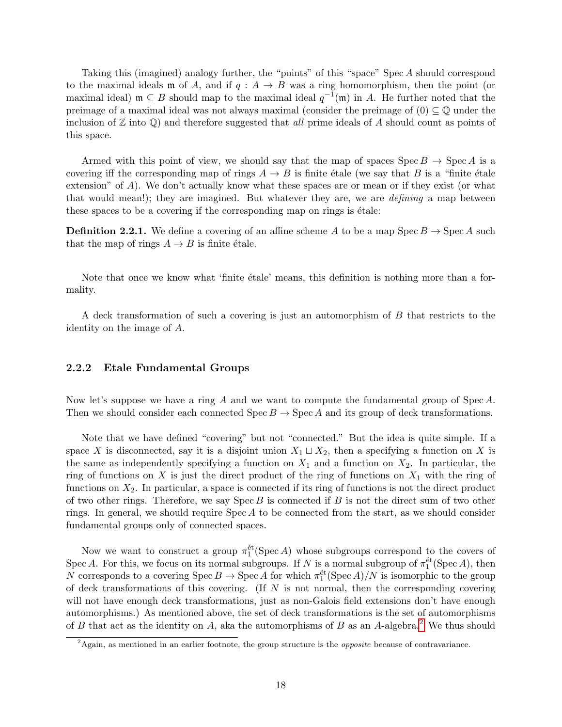Taking this (imagined) analogy further, the "points" of this "space" Spec A should correspond to the maximal ideals **m** of A, and if  $q : A \rightarrow B$  was a ring homomorphism, then the point (or maximal ideal)  $\mathfrak{m} \subseteq B$  should map to the maximal ideal  $q^{-1}(\mathfrak{m})$  in A. He further noted that the preimage of a maximal ideal was not always maximal (consider the preimage of  $(0) \subseteq \mathbb{Q}$  under the inclusion of  $\mathbb Z$  into  $\mathbb Q$ ) and therefore suggested that all prime ideals of A should count as points of this space.

Armed with this point of view, we should say that the map of spaces  $\text{Spec } B \to \text{Spec } A$  is a covering iff the corresponding map of rings  $A \to B$  is finite étale (we say that B is a "finite étale extension" of  $A$ ). We don't actually know what these spaces are or mean or if they exist (or what that would mean!); they are imagined. But whatever they are, we are *defining* a map between these spaces to be a covering if the corresponding map on rings is étale:

**Definition 2.2.1.** We define a covering of an affine scheme A to be a map  $Spec B \rightarrow Spec A$  such that the map of rings  $A \rightarrow B$  is finite étale.

Note that once we know what 'finite etale' means, this definition is nothing more than a formality.

A deck transformation of such a covering is just an automorphism of B that restricts to the identity on the image of A.

#### 2.2.2 Etale Fundamental Groups

Now let's suppose we have a ring A and we want to compute the fundamental group of Spec A. Then we should consider each connected  $\text{Spec } B \to \text{Spec } A$  and its group of deck transformations.

Note that we have defined "covering" but not "connected." But the idea is quite simple. If a space X is disconnected, say it is a disjoint union  $X_1 \sqcup X_2$ , then a specifying a function on X is the same as independently specifying a function on  $X_1$  and a function on  $X_2$ . In particular, the ring of functions on X is just the direct product of the ring of functions on  $X_1$  with the ring of functions on  $X_2$ . In particular, a space is connected if its ring of functions is not the direct product of two other rings. Therefore, we say  $Spec B$  is connected if B is not the direct sum of two other rings. In general, we should require  $Spec A$  to be connected from the start, as we should consider fundamental groups only of connected spaces.

Now we want to construct a group  $\pi_1^{\text{\'et}}(\text{Spec }A)$  whose subgroups correspond to the covers of Spec A. For this, we focus on its normal subgroups. If N is a normal subgroup of  $\pi_1^{\text{\'et}}(\text{Spec }A)$ , then N corresponds to a covering  $\text{Spec } B \to \text{Spec } A$  for which  $\pi_1^{\text{\'et}}(\text{Spec } A)/N$  is isomorphic to the group of deck transformations of this covering. (If  $N$  is not normal, then the corresponding covering will not have enough deck transformations, just as non-Galois field extensions don't have enough automorphisms.) As mentioned above, the set of deck transformations is the set of automorphisms of B that act as the identity on A, aka the automorphisms of B as an A-algebra.<sup>[2](#page-17-0)</sup> We thus should

<span id="page-17-0"></span><sup>&</sup>lt;sup>2</sup>Again, as mentioned in an earlier footnote, the group structure is the *opposite* because of contravariance.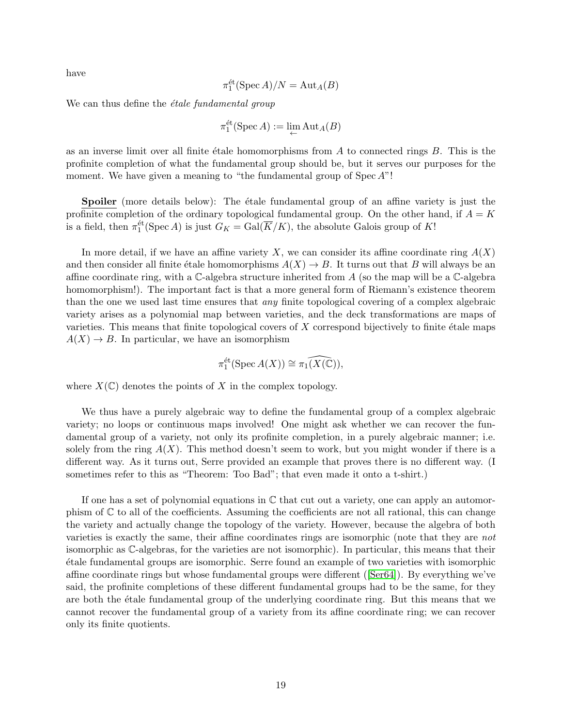have

$$
\pi_1^{\text{\'et}}(\operatorname{Spec} A)/N = \operatorname{Aut}_A(B)
$$

We can thus define the  $\acute{e}tale$  fundamental group

$$
\pi_1^{\text{\'et}}(\operatorname{Spec} A) := \lim_{\leftarrow} \operatorname{Aut}_A(B)
$$

as an inverse limit over all finite étale homomorphisms from  $A$  to connected rings  $B$ . This is the profinite completion of what the fundamental group should be, but it serves our purposes for the moment. We have given a meaning to "the fundamental group of  $Spec A$ "!

Spoiler (more details below): The étale fundamental group of an affine variety is just the profinite completion of the ordinary topological fundamental group. On the other hand, if  $A = K$ is a field, then  $\pi_1^{\text{\'et}}(\text{Spec }A)$  is just  $G_K = \text{Gal}(\overline{K}/K)$ , the absolute Galois group of K!

In more detail, if we have an affine variety X, we can consider its affine coordinate ring  $A(X)$ and then consider all finite étale homomorphisms  $A(X) \to B$ . It turns out that B will always be an affine coordinate ring, with a C-algebra structure inherited from A (so the map will be a C-algebra homomorphism!). The important fact is that a more general form of Riemann's existence theorem than the one we used last time ensures that any finite topological covering of a complex algebraic variety arises as a polynomial map between varieties, and the deck transformations are maps of varieties. This means that finite topological covers of  $X$  correspond bijectively to finite étale maps  $A(X) \rightarrow B$ . In particular, we have an isomorphism

$$
\pi_1^{\text{\'et}}(\operatorname{Spec} A(X)) \cong \pi_1(\widehat{X(\mathbb{C})}),
$$

where  $X(\mathbb{C})$  denotes the points of X in the complex topology.

We thus have a purely algebraic way to define the fundamental group of a complex algebraic variety; no loops or continuous maps involved! One might ask whether we can recover the fundamental group of a variety, not only its profinite completion, in a purely algebraic manner; i.e. solely from the ring  $A(X)$ . This method doesn't seem to work, but you might wonder if there is a different way. As it turns out, Serre provided an example that proves there is no different way. (I sometimes refer to this as "Theorem: Too Bad"; that even made it onto a t-shirt.)

If one has a set of polynomial equations in  $\mathbb C$  that cut out a variety, one can apply an automorphism of  $\mathbb C$  to all of the coefficients. Assuming the coefficients are not all rational, this can change the variety and actually change the topology of the variety. However, because the algebra of both varieties is exactly the same, their affine coordinates rings are isomorphic (note that they are not isomorphic as C-algebras, for the varieties are not isomorphic). In particular, this means that their ´etale fundamental groups are isomorphic. Serre found an example of two varieties with isomorphic affine coordinate rings but whose fundamental groups were different ([\[Ser64\]](#page-26-5)). By everything we've said, the profinite completions of these different fundamental groups had to be the same, for they are both the étale fundamental group of the underlying coordinate ring. But this means that we cannot recover the fundamental group of a variety from its affine coordinate ring; we can recover only its finite quotients.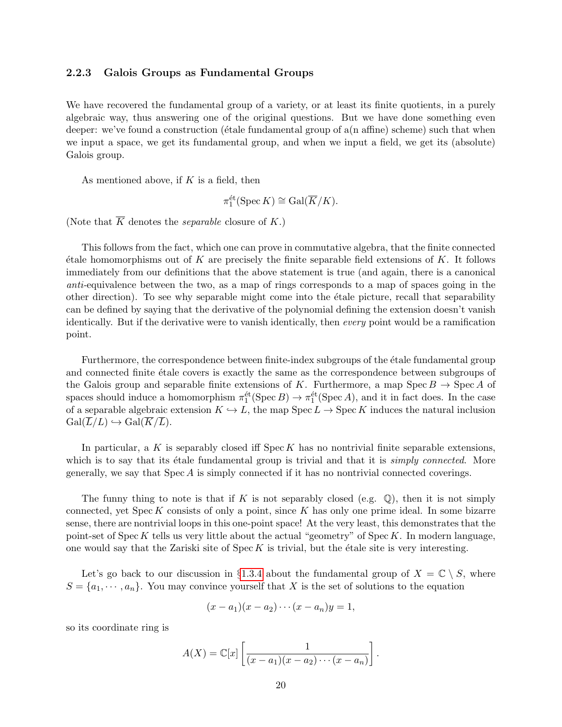#### <span id="page-19-0"></span>2.2.3 Galois Groups as Fundamental Groups

We have recovered the fundamental group of a variety, or at least its finite quotients, in a purely algebraic way, thus answering one of the original questions. But we have done something even deeper: we've found a construction ( $\acute{e}$ tale fundamental group of a(n affine) scheme) such that when we input a space, we get its fundamental group, and when we input a field, we get its (absolute) Galois group.

As mentioned above, if  $K$  is a field, then

$$
\pi_1^{\text{\'et}}(\operatorname{Spec} K) \cong \operatorname{Gal}(\overline{K}/K).
$$

(Note that  $\overline{K}$  denotes the *separable* closure of K.)

This follows from the fact, which one can prove in commutative algebra, that the finite connected  $\alpha$  etale homomorphisms out of K are precisely the finite separable field extensions of K. It follows immediately from our definitions that the above statement is true (and again, there is a canonical anti-equivalence between the two, as a map of rings corresponds to a map of spaces going in the other direction). To see why separable might come into the ´etale picture, recall that separability can be defined by saying that the derivative of the polynomial defining the extension doesn't vanish identically. But if the derivative were to vanish identically, then every point would be a ramification point.

Furthermore, the correspondence between finite-index subgroups of the *étale fundamental group* and connected finite  $\epsilon$ tale covers is exactly the same as the correspondence between subgroups of the Galois group and separable finite extensions of K. Furthermore, a map  $Spec B \to Spec A$  of spaces should induce a homomorphism  $\pi_1^{\text{\'et}}(\text{Spec }B) \to \pi_1^{\text{\'et}}(\text{Spec }A)$ , and it in fact does. In the case of a separable algebraic extension  $K \hookrightarrow L$ , the map  $Spec L \to Spec K$  induces the natural inclusion  $Gal(\overline{L}/L) \hookrightarrow Gal(\overline{K}/\overline{L}).$ 

In particular, a K is separably closed iff  $Spec K$  has no nontrivial finite separable extensions, which is to say that its étale fundamental group is trivial and that it is *simply connected*. More generally, we say that Spec A is simply connected if it has no nontrivial connected coverings.

The funny thing to note is that if K is not separably closed (e.g.  $\mathbb{Q}$ ), then it is not simply connected, yet  $Spec K$  consists of only a point, since K has only one prime ideal. In some bizarre sense, there are nontrivial loops in this one-point space! At the very least, this demonstrates that the point-set of  $Spec K$  tells us very little about the actual "geometry" of  $Spec K$ . In modern language, one would say that the Zariski site of  $Spec K$  is trivial, but the étale site is very interesting.

Let's go back to our discussion in §[1.3.4](#page-9-2) about the fundamental group of  $X = \mathbb{C} \setminus S$ , where  $S = \{a_1, \dots, a_n\}$ . You may convince yourself that X is the set of solutions to the equation

$$
(x-a1)(x-a2)\cdots(x-an)y=1,
$$

so its coordinate ring is

$$
A(X) = \mathbb{C}[x] \left[ \frac{1}{(x-a_1)(x-a_2)\cdots(x-a_n)} \right].
$$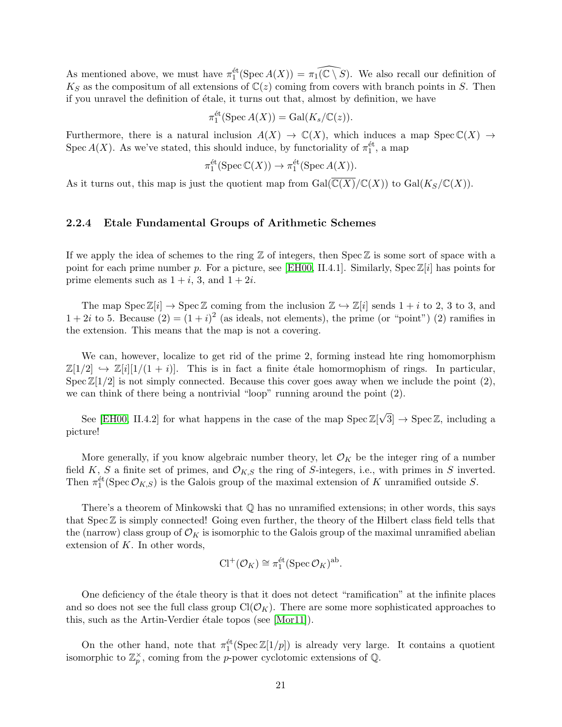As mentioned above, we must have  $\pi_1^{\text{\'et}}(\text{Spec }A(X)) = \pi_1(\widehat{\mathbb{C} \setminus S})$ . We also recall our definition of  $K_S$  as the compositum of all extensions of  $\mathbb{C}(z)$  coming from covers with branch points in S. Then if you unravel the definition of étale, it turns out that, almost by definition, we have

$$
\pi_1^{\text{\'et}}(\operatorname{Spec} A(X)) = \operatorname{Gal}(K_s/{\mathbb C}(z)).
$$

Furthermore, there is a natural inclusion  $A(X) \to \mathbb{C}(X)$ , which induces a map  $Spec \mathbb{C}(X) \to$ Spec  $A(X)$ . As we've stated, this should induce, by functoriality of  $\pi_1^{\text{\'et}}$ , a map

$$
\pi_1^{\text{\'et}}(\operatorname{Spec} \mathbb{C}(X)) \to \pi_1^{\text{\'et}}(\operatorname{Spec} A(X)).
$$

As it turns out, this map is just the quotient map from  $Gal(\overline{C(X)}/C(X))$  to  $Gal(K_S/C(X))$ .

#### 2.2.4 Etale Fundamental Groups of Arithmetic Schemes

If we apply the idea of schemes to the ring  $\mathbb Z$  of integers, then Spec  $\mathbb Z$  is some sort of space with a point for each prime number p. For a picture, see [\[EH00,](#page-25-0) II.4.1]. Similarly, Spec  $\mathbb{Z}[i]$  has points for prime elements such as  $1 + i$ , 3, and  $1 + 2i$ .

The map  $Spec \mathbb{Z}[i] \to Spec \mathbb{Z}$  coming from the inclusion  $\mathbb{Z} \hookrightarrow \mathbb{Z}[i]$  sends  $1 + i$  to 2, 3 to 3, and  $1+2i$  to 5. Because  $(2)=(1+i)^2$  (as ideals, not elements), the prime (or "point") (2) ramifies in the extension. This means that the map is not a covering.

We can, however, localize to get rid of the prime 2, forming instead hte ring homomorphism  $\mathbb{Z}[1/2] \hookrightarrow \mathbb{Z}[i][1/(1+i)]$ . This is in fact a finite étale homormophism of rings. In particular, Spec  $\mathbb{Z}[1/2]$  is not simply connected. Because this cover goes away when we include the point  $(2)$ , we can think of there being a nontrivial "loop" running around the point (2).

See [\[EH00,](#page-25-0) II.4.2] for what happens in the case of the map Spec  $\mathbb{Z}[\sqrt{3}] \to \text{Spec } \mathbb{Z}$ , including a picture!

More generally, if you know algebraic number theory, let  $\mathcal{O}_K$  be the integer ring of a number field K, S a finite set of primes, and  $\mathcal{O}_{K,S}$  the ring of S-integers, i.e., with primes in S inverted. Then  $\pi_1^{\text{\'et}}(\text{Spec}\,\mathcal{O}_{K,S})$  is the Galois group of the maximal extension of K unramified outside S.

There's a theorem of Minkowski that  $\mathbb Q$  has no unramified extensions; in other words, this says that  $Spec \mathbb{Z}$  is simply connected! Going even further, the theory of the Hilbert class field tells that the (narrow) class group of  $\mathcal{O}_K$  is isomorphic to the Galois group of the maximal unramified abelian extension of  $K$ . In other words,

$$
\mathrm{Cl}^+(\mathcal{O}_K) \cong \pi_1^{\text{\'et}}(\mathrm{Spec}\,\mathcal{O}_K)^{\text{ab}}.
$$

One deficiency of the étale theory is that it does not detect "ramification" at the infinite places and so does not see the full class group  $Cl(\mathcal{O}_K)$ . There are some more sophisticated approaches to this, such as the Artin-Verdier étale topos (see  $[Mor11]$ ).

On the other hand, note that  $\pi_1^{\text{\'et}}(\text{Spec }\mathbb{Z}[1/p])$  is already very large. It contains a quotient isomorphic to  $\mathbb{Z}_p^{\times}$ , coming from the p-power cyclotomic extensions of Q.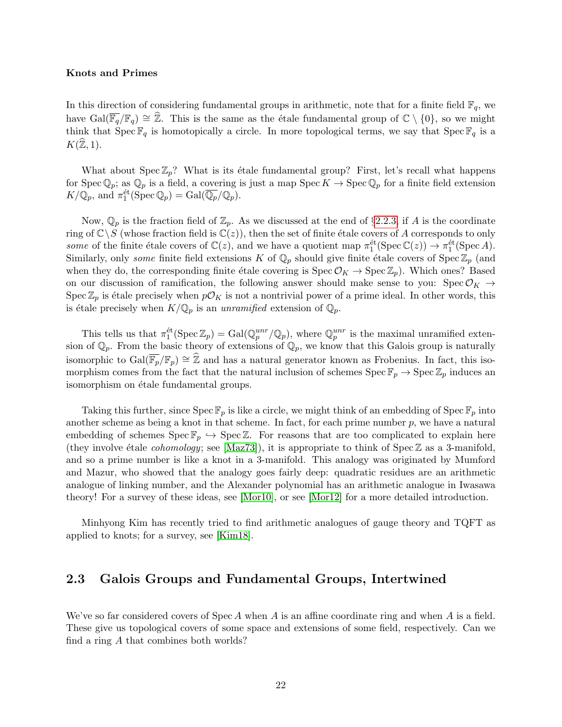#### Knots and Primes

In this direction of considering fundamental groups in arithmetic, note that for a finite field  $\mathbb{F}_q$ , we have  $Gal(\overline{\mathbb{F}_q}/\mathbb{F}_q) \cong \widehat{\mathbb{Z}}$ . This is the same as the étale fundamental group of  $\mathbb{C} \setminus \{0\}$ , so we might think that  $\text{Spec } \mathbb{F}_q$  is homotopically a circle. In more topological terms, we say that  $\text{Spec } \mathbb{F}_q$  is a  $K(\widehat{\mathbb{Z}}, 1).$ 

What about  $Spec \mathbb{Z}_p$ ? What is its étale fundamental group? First, let's recall what happens for Spec  $\mathbb{Q}_p$ ; as  $\mathbb{Q}_p$  is a field, a covering is just a map Spec  $K \to \text{Spec } \mathbb{Q}_p$  for a finite field extension  $K/\mathbb{Q}_p$ , and  $\pi_1^{\text{\'et}}(\operatorname{Spec} \mathbb{Q}_p) = \operatorname{Gal}(\overline{\mathbb{Q}_p}/\mathbb{Q}_p)$ .

Now,  $\mathbb{Q}_p$  is the fraction field of  $\mathbb{Z}_p$ . As we discussed at the end of §[2.2.3,](#page-19-0) if A is the coordinate ring of  $\mathbb{C}\setminus S$  (whose fraction field is  $\mathbb{C}(z)$ ), then the set of finite étale covers of A corresponds to only some of the finite étale covers of  $\mathbb{C}(z)$ , and we have a quotient map  $\pi_1^{\text{\'et}}(\text{Spec }\mathbb{C}(z)) \to \pi_1^{\text{\'et}}(\text{Spec }A)$ . Similarly, only *some* finite field extensions K of  $\mathbb{Q}_p$  should give finite étale covers of Spec  $\mathbb{Z}_p$  (and when they do, the corresponding finite étale covering is  $\text{Spec } \mathcal{O}_K \to \text{Spec } \mathbb{Z}_p$ ). Which ones? Based on our discussion of ramification, the following answer should make sense to you: Spec  $\mathcal{O}_K \to$ Spec  $\mathbb{Z}_p$  is étale precisely when  $p\mathcal{O}_K$  is not a nontrivial power of a prime ideal. In other words, this is étale precisely when  $K/\mathbb{Q}_p$  is an unramified extension of  $\mathbb{Q}_p$ .

This tells us that  $\pi_1^{\text{\'et}}(\text{Spec } \mathbb{Z}_p) = \text{Gal}(\mathbb{Q}_p^{unr}/\mathbb{Q}_p)$ , where  $\mathbb{Q}_p^{unr}$  is the maximal unramified extension of  $\mathbb{Q}_p$ . From the basic theory of extensions of  $\mathbb{Q}_p$ , we know that this Galois group is naturally isomorphic to  $Gal(\overline{\mathbb{F}_p}/\mathbb{F}_p) \cong \mathbb{Z}$  and has a natural generator known as Frobenius. In fact, this isomorphism comes from the fact that the natural inclusion of schemes  $\text{Spec } \mathbb{F}_p \to \text{Spec } \mathbb{Z}_p$  induces an isomorphism on étale fundamental groups.

Taking this further, since  $\text{Spec } \mathbb{F}_p$  is like a circle, we might think of an embedding of  $\text{Spec } \mathbb{F}_p$  into another scheme as being a knot in that scheme. In fact, for each prime number  $p$ , we have a natural embedding of schemes  $Spec \mathbb{F}_p \hookrightarrow Spec \mathbb{Z}$ . For reasons that are too complicated to explain here (they involve étale *cohomology*; see [\[Maz73\]](#page-26-7)), it is appropriate to think of Spec  $\mathbb Z$  as a 3-manifold, and so a prime number is like a knot in a 3-manifold. This analogy was originated by Mumford and Mazur, who showed that the analogy goes fairly deep: quadratic residues are an arithmetic analogue of linking number, and the Alexander polynomial has an arithmetic analogue in Iwasawa theory! For a survey of these ideas, see [\[Mor10\]](#page-26-8), or see [\[Mor12\]](#page-26-9) for a more detailed introduction.

Minhyong Kim has recently tried to find arithmetic analogues of gauge theory and TQFT as applied to knots; for a survey, see [\[Kim18\]](#page-25-1).

# <span id="page-21-0"></span>2.3 Galois Groups and Fundamental Groups, Intertwined

We've so far considered covers of Spec A when A is an affine coordinate ring and when A is a field. These give us topological covers of some space and extensions of some field, respectively. Can we find a ring A that combines both worlds?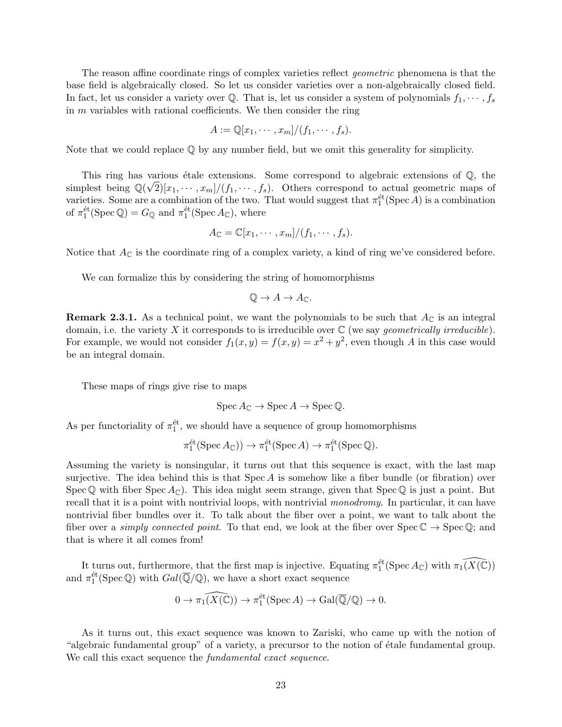The reason affine coordinate rings of complex varieties reflect *geometric* phenomena is that the base field is algebraically closed. So let us consider varieties over a non-algebraically closed field. In fact, let us consider a variety over Q. That is, let us consider a system of polynomials  $f_1, \dots, f_s$ in  $m$  variables with rational coefficients. We then consider the ring

$$
A := \mathbb{Q}[x_1, \cdots, x_m]/(f_1, \cdots, f_s).
$$

Note that we could replace  $\mathbb Q$  by any number field, but we omit this generality for simplicity.

This ring has various étale extensions. Some correspond to algebraic extensions of  $\mathbb{Q}$ , the simplest being  $\mathbb{Q}(\sqrt{2})[x_1, \dots, x_m]/(f_1, \dots, f_s)$ . Others correspond to actual geometric maps of varieties. Some are a combination of the two. That would suggest that  $\pi_1^{\text{\'et}}(\text{Spec }A)$  is a combination of  $\pi_1^{\text{\'et}}(\text{Spec } \mathbb{Q}) = G_{\mathbb{Q}}$  and  $\pi_1^{\text{\'et}}(\text{Spec } A_{\mathbb{C}})$ , where

$$
A_{\mathbb{C}}=\mathbb{C}[x_1,\cdots,x_m]/(f_1,\cdots,f_s).
$$

Notice that  $A_{\mathbb{C}}$  is the coordinate ring of a complex variety, a kind of ring we've considered before.

We can formalize this by considering the string of homomorphisms

$$
\mathbb{Q} \to A \to A_{\mathbb{C}}.
$$

**Remark 2.3.1.** As a technical point, we want the polynomials to be such that  $A_{\mathbb{C}}$  is an integral domain, i.e. the variety X it corresponds to is irreducible over  $\mathbb C$  (we say *geometrically irreducible*). For example, we would not consider  $f_1(x,y) = f(x,y) = x^2 + y^2$ , even though A in this case would be an integral domain.

These maps of rings give rise to maps

$$
\operatorname{Spec} A_{\mathbb{C}} \to \operatorname{Spec} A \to \operatorname{Spec} \mathbb{Q}.
$$

As per functoriality of  $\pi_1^{\text{\'et}}$ , we should have a sequence of group homomorphisms

$$
\pi_1^{\text{\'et}}(\operatorname{Spec} A_{\mathbb{C}})) \to \pi_1^{\text{\'et}}(\operatorname{Spec} A) \to \pi_1^{\text{\'et}}(\operatorname{Spec} \mathbb{Q}).
$$

Assuming the variety is nonsingular, it turns out that this sequence is exact, with the last map surjective. The idea behind this is that  $Spec A$  is somehow like a fiber bundle (or fibration) over Spec  $\mathbb Q$  with fiber Spec  $A_{\mathbb C}$ ). This idea might seem strange, given that Spec  $\mathbb Q$  is just a point. But recall that it is a point with nontrivial loops, with nontrivial monodromy. In particular, it can have nontrivial fiber bundles over it. To talk about the fiber over a point, we want to talk about the fiber over a *simply connected point*. To that end, we look at the fiber over  $Spec \mathbb{C} \to Spec \mathbb{Q}$ ; and that is where it all comes from!

It turns out, furthermore, that the first map is injective. Equating  $\pi_1^{\text{\'et}}(\text{Spec }A_{\mathbb{C}})$  with  $\pi_1(\widehat{X(\mathbb{C})})$ and  $\pi_1^{\text{\'et}}(\text{Spec}\,\mathbb{Q})$  with  $Gal(\overline{\mathbb{Q}}/\mathbb{Q})$ , we have a short exact sequence

$$
0 \to \pi_1(\widehat{X(\mathbb{C})}) \to \pi_1^{\text{\'et}}(\operatorname{Spec} A) \to \operatorname{Gal}(\overline{\mathbb{Q}}/\mathbb{Q}) \to 0.
$$

As it turns out, this exact sequence was known to Zariski, who came up with the notion of "algebraic fundamental group" of a variety, a precursor to the notion of étale fundamental group. We call this exact sequence the *fundamental exact sequence*.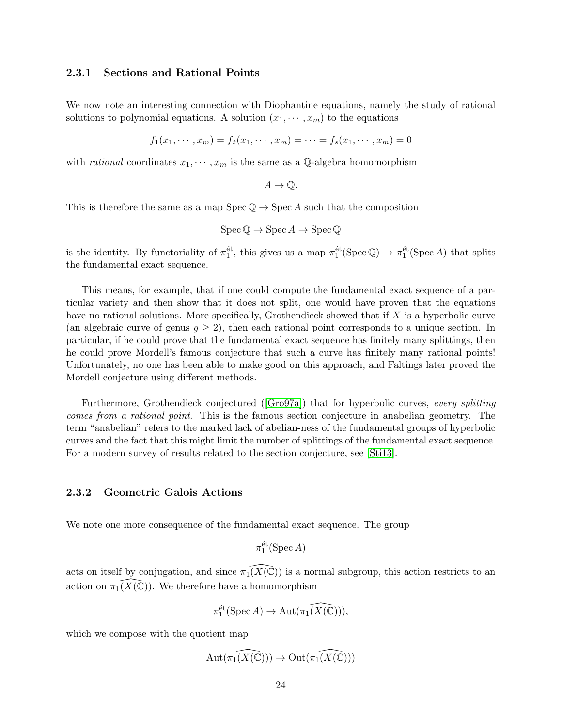#### 2.3.1 Sections and Rational Points

We now note an interesting connection with Diophantine equations, namely the study of rational solutions to polynomial equations. A solution  $(x_1, \dots, x_m)$  to the equations

$$
f_1(x_1, \dots, x_m) = f_2(x_1, \dots, x_m) = \dots = f_s(x_1, \dots, x_m) = 0
$$

with *rational* coordinates  $x_1, \dots, x_m$  is the same as a Q-algebra homomorphism

$$
A\rightarrow \mathbb{Q}.
$$

This is therefore the same as a map  $Spec \mathbb{Q} \to Spec A$  such that the composition

$$
\operatorname{Spec} \mathbb{Q} \to \operatorname{Spec} A \to \operatorname{Spec} \mathbb{Q}
$$

is the identity. By functoriality of  $\pi_1^{\text{\'et}}$ , this gives us a map  $\pi_1^{\text{\'et}}(\text{Spec}\,\mathbb{Q}) \to \pi_1^{\text{\'et}}(\text{Spec}\,A)$  that splits the fundamental exact sequence.

This means, for example, that if one could compute the fundamental exact sequence of a particular variety and then show that it does not split, one would have proven that the equations have no rational solutions. More specifically, Grothendieck showed that if X is a hyperbolic curve (an algebraic curve of genus  $g \geq 2$ ), then each rational point corresponds to a unique section. In particular, if he could prove that the fundamental exact sequence has finitely many splittings, then he could prove Mordell's famous conjecture that such a curve has finitely many rational points! Unfortunately, no one has been able to make good on this approach, and Faltings later proved the Mordell conjecture using different methods.

Furthermore, Grothendieck conjectured ([\[Gro97a\]](#page-25-2)) that for hyperbolic curves, every splitting comes from a rational point. This is the famous section conjecture in anabelian geometry. The term "anabelian" refers to the marked lack of abelian-ness of the fundamental groups of hyperbolic curves and the fact that this might limit the number of splittings of the fundamental exact sequence. For a modern survey of results related to the section conjecture, see [\[Sti13\]](#page-26-10).

#### 2.3.2 Geometric Galois Actions

We note one more consequence of the fundamental exact sequence. The group

 $\pi_1^{\text{\'et}}(\operatorname{Spec} A)$ 

acts on itself by conjugation, and since  $\pi_1(\widehat{X(\mathbb{C})})$  is a normal subgroup, this action restricts to an action on  $\pi_1(X(\mathbb{C}))$ . We therefore have a homomorphism

$$
\pi_1^{\text{\'et}}(\operatorname{Spec} A) \to \operatorname{Aut}(\widehat{\pi_1(X(\mathbb{C}))}),
$$

which we compose with the quotient map

$$
\mathrm{Aut}(\widehat{\pi_1(X(\mathbb{C}))}) \to \mathrm{Out}(\widehat{\pi_1(X(\mathbb{C}))})
$$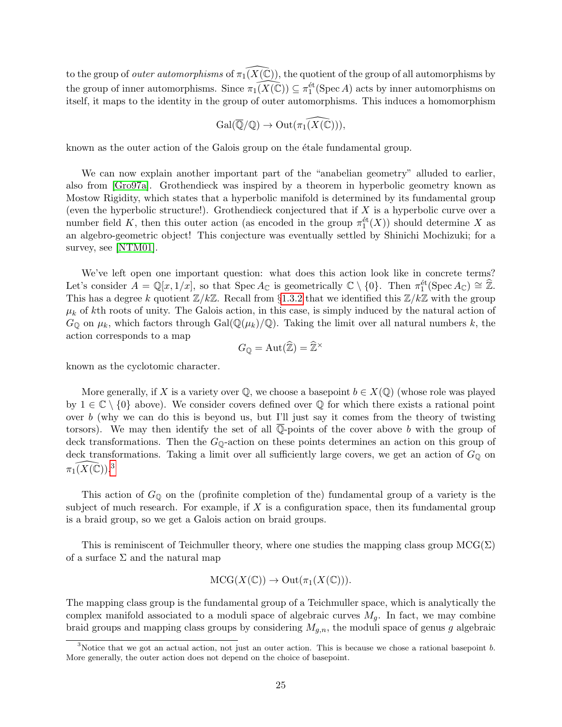to the group of *outer automorphisms* of  $\pi_1(X(\mathbb{C}))$ , the quotient of the group of all automorphisms by the group of inner automorphisms. Since  $\pi_1(\widehat{X(\mathbb{C})}) \subseteq \pi_1^{\text{\'et}}(\text{Spec }A)$  acts by inner automorphisms on itself, it maps to the identity in the group of outer automorphisms. This induces a homomorphism

$$
\mathrm{Gal}(\overline{\mathbb{Q}}/\mathbb{Q}) \to \mathrm{Out}(\widehat{\pi_1(X(\mathbb{C}))}),
$$

known as the outer action of the Galois group on the etale fundamental group.

We can now explain another important part of the "anabelian geometry" alluded to earlier, also from [\[Gro97a\]](#page-25-2). Grothendieck was inspired by a theorem in hyperbolic geometry known as Mostow Rigidity, which states that a hyperbolic manifold is determined by its fundamental group (even the hyperbolic structure!). Grothendieck conjectured that if  $X$  is a hyperbolic curve over a number field K, then this outer action (as encoded in the group  $\pi_1^{\text{\'et}}(X)$ ) should determine X as an algebro-geometric object! This conjecture was eventually settled by Shinichi Mochizuki; for a survey, see [\[NTM01\]](#page-26-11).

We've left open one important question: what does this action look like in concrete terms? Let's consider  $A = \mathbb{Q}[x, 1/x]$ , so that  $\text{Spec } A_{\mathbb{C}}$  is geometrically  $\mathbb{C} \setminus \{0\}$ . Then  $\pi_1^{\text{\'et}}(\text{Spec } A_{\mathbb{C}}) \cong \mathbb{Z}$ . This has a degree k quotient  $\mathbb{Z}/k\mathbb{Z}$ . Recall from §[1.3.2](#page-7-1) that we identified this  $\mathbb{Z}/k\mathbb{Z}$  with the group  $\mu_k$  of kth roots of unity. The Galois action, in this case, is simply induced by the natural action of  $G_{\mathbb{Q}}$  on  $\mu_k$ , which factors through Gal $(\mathbb{Q}(\mu_k)/\mathbb{Q})$ . Taking the limit over all natural numbers k, the action corresponds to a map

$$
G_{\mathbb{Q}} = \mathrm{Aut}(\widehat{\mathbb{Z}}) = \widehat{\mathbb{Z}}^{\times}
$$

known as the cyclotomic character.

More generally, if X is a variety over  $\mathbb{Q}$ , we choose a basepoint  $b \in X(\mathbb{Q})$  (whose role was played by  $1 \in \mathbb{C} \setminus \{0\}$  above). We consider covers defined over  $\mathbb Q$  for which there exists a rational point over b (why we can do this is beyond us, but I'll just say it comes from the theory of twisting torsors). We may then identify the set of all  $\overline{\mathbb{Q}}$ -points of the cover above b with the group of deck transformations. Then the  $G_{\mathbb{Q}}$ -action on these points determines an action on this group of deck transformations. Taking a limit over all sufficiently large covers, we get an action of  $G_{\mathbb{Q}}$  on  $\pi_1(X(\mathbb{C}))$ .<sup>[3](#page-24-0)</sup>

This action of  $G_{\mathbb{Q}}$  on the (profinite completion of the) fundamental group of a variety is the subject of much research. For example, if  $X$  is a configuration space, then its fundamental group is a braid group, so we get a Galois action on braid groups.

This is reminiscent of Teichmuller theory, where one studies the mapping class group  $MCG(\Sigma)$ of a surface  $\Sigma$  and the natural map

$$
MCG(X(\mathbb{C})) \to Out(\pi_1(X(\mathbb{C}))).
$$

The mapping class group is the fundamental group of a Teichmuller space, which is analytically the complex manifold associated to a moduli space of algebraic curves  $M<sub>g</sub>$ . In fact, we may combine braid groups and mapping class groups by considering  $M_{g,n}$ , the moduli space of genus g algebraic

<span id="page-24-0"></span><sup>&</sup>lt;sup>3</sup>Notice that we got an actual action, not just an outer action. This is because we chose a rational basepoint b. More generally, the outer action does not depend on the choice of basepoint.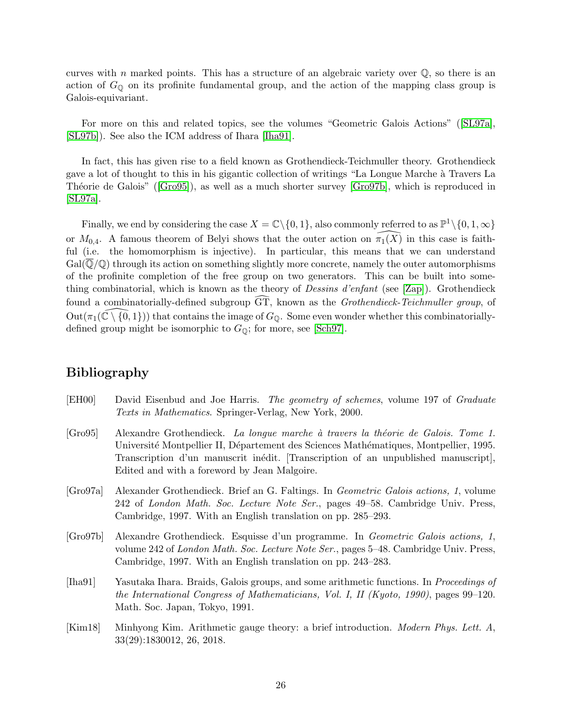curves with n marked points. This has a structure of an algebraic variety over  $\mathbb{Q}$ , so there is an action of  $G_{\mathbb{Q}}$  on its profinite fundamental group, and the action of the mapping class group is Galois-equivariant.

For more on this and related topics, see the volumes "Geometric Galois Actions" ([\[SL97a\]](#page-26-12), [\[SL97b\]](#page-26-13)). See also the ICM address of Ihara [\[Iha91\]](#page-25-3).

In fact, this has given rise to a field known as Grothendieck-Teichmuller theory. Grothendieck gave a lot of thought to this in his gigantic collection of writings "La Longue Marche à Travers La Théorie de Galois" ([\[Gro95\]](#page-25-4)), as well as a much shorter survey [\[Gro97b\]](#page-25-5), which is reproduced in [\[SL97a\]](#page-26-12).

Finally, we end by considering the case  $X = \mathbb{C} \setminus \{0, 1\}$ , also commonly referred to as  $\mathbb{P}^1 \setminus \{0, 1, \infty\}$ or  $M_{0,4}$ . A famous theorem of Belyi shows that the outer action on  $\widehat{\pi}_1(\widehat{X})$  in this case is faithful (i.e. the homomorphism is injective). In particular, this means that we can understand  $Gal(Q/Q)$  through its action on something slightly more concrete, namely the outer automorphisms of the profinite completion of the free group on two generators. This can be built into something combinatorial, which is known as the theory of Dessins d'enfant (see [\[Zap\]](#page-27-1)). Grothendieck found a combinatorially-defined subgroup  $\overline{GT}$ , known as the *Grothendieck-Teichmuller group*, of  $Out(\pi_1(\mathbb{C}\setminus\{0, 1\}))$  that contains the image of  $G_{\mathbb{O}}$ . Some even wonder whether this combinatoriallydefined group might be isomorphic to  $G_{\mathbb{Q}}$ ; for more, see [\[Sch97\]](#page-26-14).

# Bibliography

- <span id="page-25-0"></span>[EH00] David Eisenbud and Joe Harris. The geometry of schemes, volume 197 of Graduate Texts in Mathematics. Springer-Verlag, New York, 2000.
- <span id="page-25-4"></span>[Gro95] Alexandre Grothendieck. La longue marche `a travers la th´eorie de Galois. Tome 1. Université Montpellier II, Département des Sciences Mathématiques, Montpellier, 1995. Transcription d'un manuscrit inédit. [Transcription of an unpublished manuscript], Edited and with a foreword by Jean Malgoire.
- <span id="page-25-2"></span>[Gro97a] Alexander Grothendieck. Brief an G. Faltings. In Geometric Galois actions, 1, volume 242 of London Math. Soc. Lecture Note Ser., pages 49–58. Cambridge Univ. Press, Cambridge, 1997. With an English translation on pp. 285–293.
- <span id="page-25-5"></span>[Gro97b] Alexandre Grothendieck. Esquisse d'un programme. In Geometric Galois actions, 1, volume 242 of London Math. Soc. Lecture Note Ser., pages 5–48. Cambridge Univ. Press, Cambridge, 1997. With an English translation on pp. 243–283.
- <span id="page-25-3"></span>[Iha91] Yasutaka Ihara. Braids, Galois groups, and some arithmetic functions. In Proceedings of the International Congress of Mathematicians, Vol. I, II (Kyoto, 1990), pages 99–120. Math. Soc. Japan, Tokyo, 1991.
- <span id="page-25-1"></span>[Kim18] Minhyong Kim. Arithmetic gauge theory: a brief introduction. Modern Phys. Lett. A, 33(29):1830012, 26, 2018.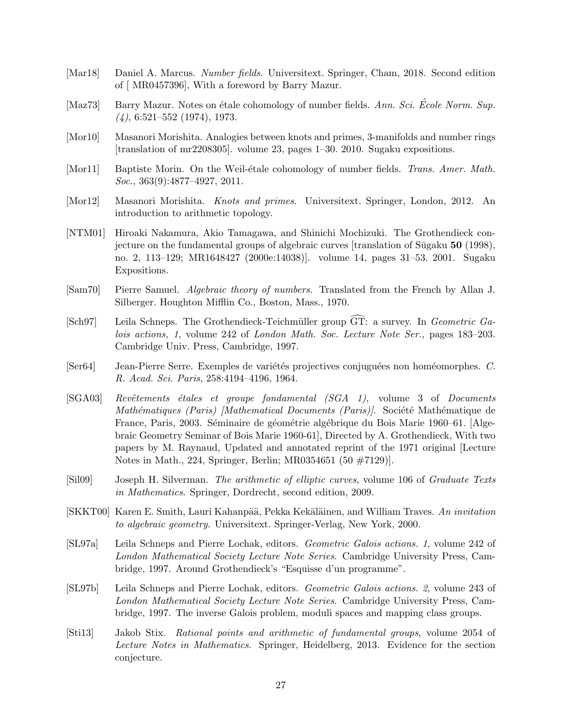- <span id="page-26-1"></span>[Mar18] Daniel A. Marcus. Number fields. Universitext. Springer, Cham, 2018. Second edition of [ MR0457396], With a foreword by Barry Mazur.
- <span id="page-26-7"></span>[Maz73] Barry Mazur. Notes on étale cohomology of number fields. Ann. Sci. École Norm. Sup.  $(4)$ , 6:521–552 (1974), 1973.
- <span id="page-26-8"></span>[Mor10] Masanori Morishita. Analogies between knots and primes, 3-manifolds and number rings [translation of mr2208305]. volume 23, pages 1–30. 2010. Sugaku expositions.
- <span id="page-26-6"></span>[Mor11] Baptiste Morin. On the Weil-étale cohomology of number fields. Trans. Amer. Math. Soc., 363(9):4877-4927, 2011.
- <span id="page-26-9"></span>[Mor12] Masanori Morishita. Knots and primes. Universitext. Springer, London, 2012. An introduction to arithmetic topology.
- <span id="page-26-11"></span>[NTM01] Hiroaki Nakamura, Akio Tamagawa, and Shinichi Mochizuki. The Grothendieck conjecture on the fundamental groups of algebraic curves  $[translation of Sūgaku 50 (1998)]$ no. 2, 113–129; MR1648427 (2000e:14038)]. volume 14, pages 31–53. 2001. Sugaku Expositions.
- <span id="page-26-2"></span>[Sam70] Pierre Samuel. Algebraic theory of numbers. Translated from the French by Allan J. Silberger. Houghton Mifflin Co., Boston, Mass., 1970.
- <span id="page-26-14"></span>[Sch97] Leila Schneps. The Grothendieck-Teichmüller group  $\widetilde{GT}$ : a survey. In *Geometric Ga*lois actions, 1, volume 242 of London Math. Soc. Lecture Note Ser., pages 183–203. Cambridge Univ. Press, Cambridge, 1997.
- <span id="page-26-5"></span>[Ser64] Jean-Pierre Serre. Exemples de variétés projectives conjuguées non homéomorphes. C. R. Acad. Sci. Paris, 258:4194–4196, 1964.
- <span id="page-26-3"></span>[SGA03] Revêtements étales et groupe fondamental (SGA 1), volume 3 of Documents Mathématiques (Paris) [Mathematical Documents (Paris)]. Société Mathématique de France, Paris, 2003. Séminaire de géométrie algébrique du Bois Marie 1960–61. [Algebraic Geometry Seminar of Bois Marie 1960-61], Directed by A. Grothendieck, With two papers by M. Raynaud, Updated and annotated reprint of the 1971 original [Lecture Notes in Math., 224, Springer, Berlin; MR0354651 (50 #7129)].
- <span id="page-26-4"></span>[Sil09] Joseph H. Silverman. The arithmetic of elliptic curves, volume 106 of Graduate Texts in Mathematics. Springer, Dordrecht, second edition, 2009.
- <span id="page-26-0"></span>[SKKT00] Karen E. Smith, Lauri Kahanpää, Pekka Kekäläinen, and William Traves. An invitation to algebraic geometry. Universitext. Springer-Verlag, New York, 2000.
- <span id="page-26-12"></span>[SL97a] Leila Schneps and Pierre Lochak, editors. Geometric Galois actions. 1, volume 242 of London Mathematical Society Lecture Note Series. Cambridge University Press, Cambridge, 1997. Around Grothendieck's "Esquisse d'un programme".
- <span id="page-26-13"></span>[SL97b] Leila Schneps and Pierre Lochak, editors. Geometric Galois actions. 2, volume 243 of London Mathematical Society Lecture Note Series. Cambridge University Press, Cambridge, 1997. The inverse Galois problem, moduli spaces and mapping class groups.
- <span id="page-26-10"></span>[Sti13] Jakob Stix. Rational points and arithmetic of fundamental groups, volume 2054 of Lecture Notes in Mathematics. Springer, Heidelberg, 2013. Evidence for the section conjecture.